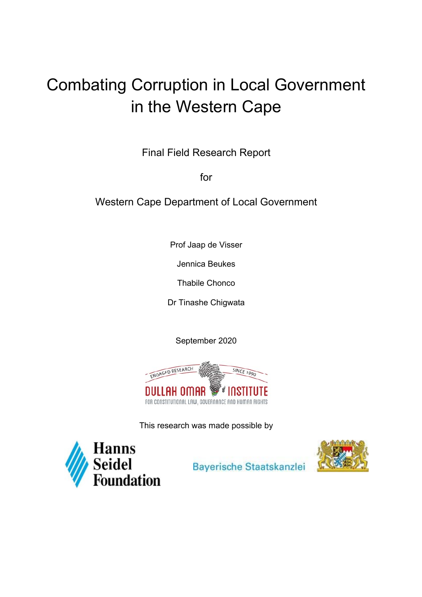# Combating Corruption in Local Government in the Western Cape

Final Field Research Report

for

Western Cape Department of Local Government

Prof Jaap de Visser

Jennica Beukes

Thabile Chonco

Dr Tinashe Chigwata

September 2020



This research was made possible by



Bayerische Staatskanzlei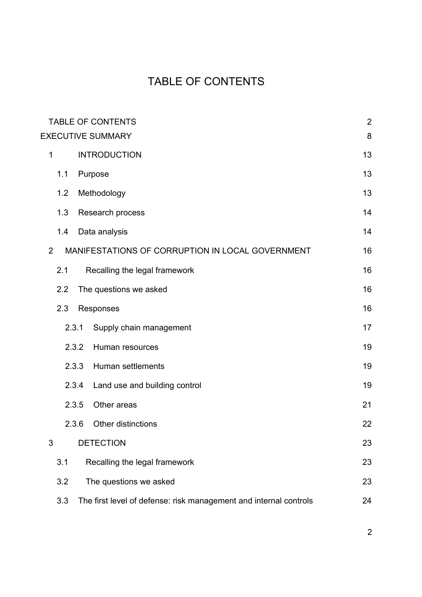# TABLE OF CONTENTS

|                          |     | <b>TABLE OF CONTENTS</b>                                          | $\overline{2}$ |
|--------------------------|-----|-------------------------------------------------------------------|----------------|
| <b>EXECUTIVE SUMMARY</b> |     |                                                                   | 8              |
| 1                        |     | <b>INTRODUCTION</b>                                               | 13             |
|                          | 1.1 | Purpose                                                           | 13             |
|                          | 1.2 | Methodology                                                       | 13             |
|                          | 1.3 | Research process                                                  | 14             |
|                          | 1.4 | Data analysis                                                     | 14             |
| $\overline{2}$           |     | MANIFESTATIONS OF CORRUPTION IN LOCAL GOVERNMENT                  | 16             |
|                          | 2.1 | Recalling the legal framework                                     | 16             |
|                          | 2.2 | The questions we asked                                            | 16             |
|                          | 2.3 | Responses                                                         | 16             |
|                          |     | 2.3.1<br>Supply chain management                                  | 17             |
|                          |     | 2.3.2<br>Human resources                                          | 19             |
|                          |     | <b>Human settlements</b><br>2.3.3                                 | 19             |
|                          |     | 2.3.4<br>Land use and building control                            | 19             |
|                          |     | 2.3.5<br>Other areas                                              | 21             |
|                          |     | Other distinctions<br>2.3.6                                       | 22             |
| 3                        |     | <b>DETECTION</b>                                                  | 23             |
|                          | 3.1 | Recalling the legal framework                                     | 23             |
|                          | 3.2 | The questions we asked                                            | 23             |
|                          | 3.3 | The first level of defense: risk management and internal controls | 24             |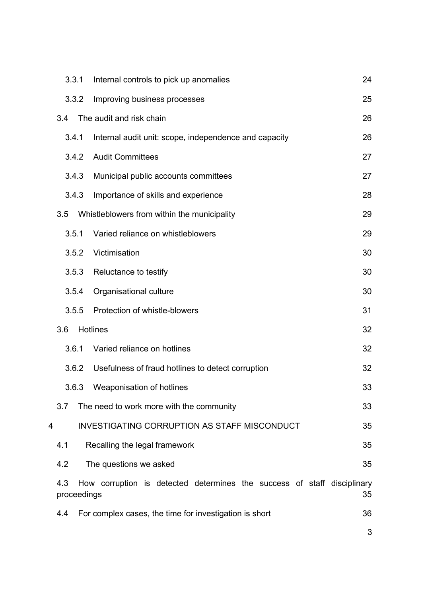|   | 3.3.1              | Internal controls to pick up anomalies                                  | 24 |
|---|--------------------|-------------------------------------------------------------------------|----|
|   | 3.3.2              | Improving business processes                                            | 25 |
|   | 3.4                | The audit and risk chain                                                | 26 |
|   | 3.4.1              | Internal audit unit: scope, independence and capacity                   | 26 |
|   | 3.4.2              | <b>Audit Committees</b>                                                 | 27 |
|   | 3.4.3              | Municipal public accounts committees                                    | 27 |
|   | 3.4.3              | Importance of skills and experience                                     | 28 |
|   | 3.5                | Whistleblowers from within the municipality                             | 29 |
|   | 3.5.1              | Varied reliance on whistleblowers                                       | 29 |
|   | 3.5.2              | Victimisation                                                           | 30 |
|   | 3.5.3              | Reluctance to testify                                                   | 30 |
|   | 3.5.4              | Organisational culture                                                  | 30 |
|   | 3.5.5              | Protection of whistle-blowers                                           | 31 |
|   | 3.6                | <b>Hotlines</b>                                                         | 32 |
|   | 3.6.1              | Varied reliance on hotlines                                             | 32 |
|   | 3.6.2              | Usefulness of fraud hotlines to detect corruption                       | 32 |
|   | 3.6.3              | Weaponisation of hotlines                                               | 33 |
|   | 3.7                | The need to work more with the community                                | 33 |
| 4 |                    | <b>INVESTIGATING CORRUPTION AS STAFF MISCONDUCT</b>                     | 35 |
|   | 4.1                | Recalling the legal framework                                           | 35 |
|   | 4.2                | The questions we asked                                                  | 35 |
|   | 4.3<br>proceedings | How corruption is detected determines the success of staff disciplinary | 35 |
|   | 4.4                | For complex cases, the time for investigation is short                  | 36 |
|   |                    |                                                                         |    |

3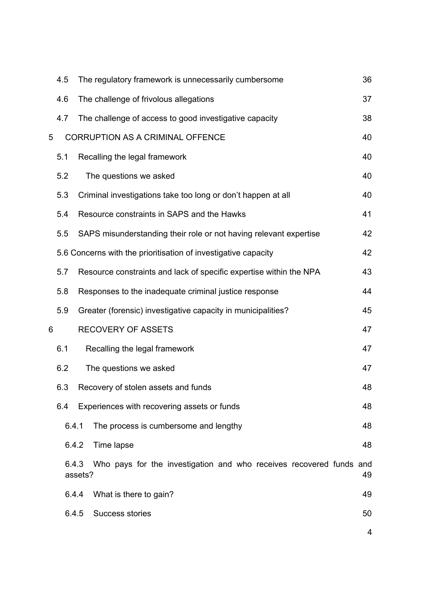|   | 4.5 |       | The regulatory framework is unnecessarily cumbersome                           | 36 |
|---|-----|-------|--------------------------------------------------------------------------------|----|
|   | 4.6 |       | The challenge of frivolous allegations                                         | 37 |
|   | 4.7 |       | The challenge of access to good investigative capacity                         | 38 |
| 5 |     |       | <b>CORRUPTION AS A CRIMINAL OFFENCE</b>                                        | 40 |
|   | 5.1 |       | Recalling the legal framework                                                  | 40 |
|   | 5.2 |       | The questions we asked                                                         | 40 |
|   | 5.3 |       | Criminal investigations take too long or don't happen at all                   | 40 |
|   | 5.4 |       | Resource constraints in SAPS and the Hawks                                     | 41 |
|   | 5.5 |       | SAPS misunderstanding their role or not having relevant expertise              | 42 |
|   |     |       | 5.6 Concerns with the prioritisation of investigative capacity                 | 42 |
|   | 5.7 |       | Resource constraints and lack of specific expertise within the NPA             | 43 |
|   | 5.8 |       | Responses to the inadequate criminal justice response                          | 44 |
|   | 5.9 |       | Greater (forensic) investigative capacity in municipalities?                   | 45 |
| 6 |     |       | <b>RECOVERY OF ASSETS</b>                                                      | 47 |
|   | 6.1 |       | Recalling the legal framework                                                  | 47 |
|   | 6.2 |       | The questions we asked                                                         | 47 |
|   | 6.3 |       | Recovery of stolen assets and funds                                            | 48 |
|   | 6.4 |       | Experiences with recovering assets or funds                                    | 48 |
|   |     | 6.4.1 | The process is cumbersome and lengthy                                          | 48 |
|   |     | 6.4.2 | Time lapse                                                                     | 48 |
|   |     | 6.4.3 | Who pays for the investigation and who receives recovered funds and<br>assets? | 49 |
|   |     | 6.4.4 | What is there to gain?                                                         | 49 |
|   |     | 6.4.5 | Success stories                                                                | 50 |
|   |     |       |                                                                                | 4  |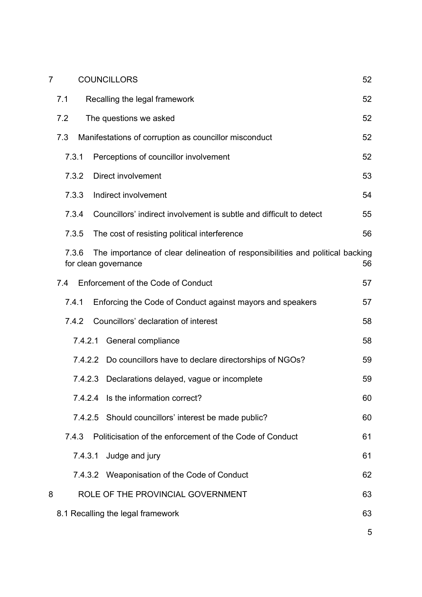| 7 |       |         | <b>COUNCILLORS</b>                                                                                    | 52 |
|---|-------|---------|-------------------------------------------------------------------------------------------------------|----|
|   | 7.1   |         | Recalling the legal framework                                                                         | 52 |
|   | 7.2   |         | The questions we asked                                                                                | 52 |
|   | 7.3   |         | Manifestations of corruption as councillor misconduct                                                 | 52 |
|   | 7.3.1 |         | Perceptions of councillor involvement                                                                 | 52 |
|   | 7.3.2 |         | Direct involvement                                                                                    | 53 |
|   | 7.3.3 |         | Indirect involvement                                                                                  | 54 |
|   | 7.3.4 |         | Councillors' indirect involvement is subtle and difficult to detect                                   | 55 |
|   | 7.3.5 |         | The cost of resisting political interference                                                          | 56 |
|   | 7.3.6 |         | The importance of clear delineation of responsibilities and political backing<br>for clean governance | 56 |
|   | 7.4   |         | Enforcement of the Code of Conduct                                                                    | 57 |
|   | 7.4.1 |         | Enforcing the Code of Conduct against mayors and speakers                                             | 57 |
|   | 7.4.2 |         | Councillors' declaration of interest                                                                  | 58 |
|   |       | 7.4.2.1 | General compliance                                                                                    | 58 |
|   |       |         | 7.4.2.2 Do councillors have to declare directorships of NGOs?                                         | 59 |
|   |       | 7.4.2.3 | Declarations delayed, vague or incomplete                                                             | 59 |
|   |       |         | 7.4.2.4 Is the information correct?                                                                   | 60 |
|   |       |         | 7.4.2.5 Should councillors' interest be made public?                                                  | 60 |
|   | 7.4.3 |         | Politicisation of the enforcement of the Code of Conduct                                              | 61 |
|   |       | 7.4.3.1 | Judge and jury                                                                                        | 61 |
|   |       |         | 7.4.3.2 Weaponisation of the Code of Conduct                                                          | 62 |
| 8 |       |         | ROLE OF THE PROVINCIAL GOVERNMENT                                                                     | 63 |
|   |       |         | 8.1 Recalling the legal framework                                                                     | 63 |
|   |       |         |                                                                                                       | 5  |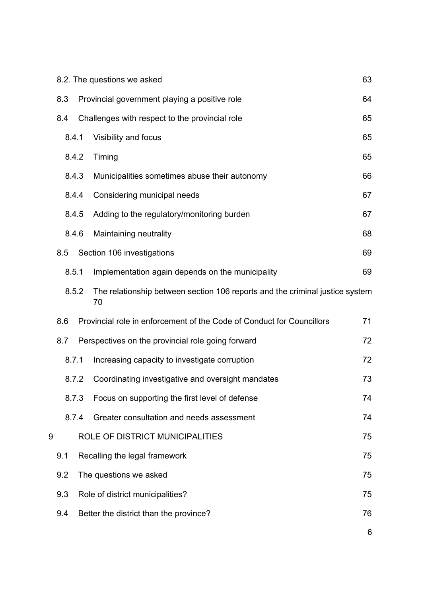|   |       | 8.2. The questions we asked |                                                                                    |    |  |  |
|---|-------|-----------------------------|------------------------------------------------------------------------------------|----|--|--|
|   | 8.3   |                             | Provincial government playing a positive role                                      | 64 |  |  |
|   | 8.4   |                             | Challenges with respect to the provincial role                                     | 65 |  |  |
|   | 8.4.1 |                             | Visibility and focus                                                               | 65 |  |  |
|   | 8.4.2 |                             | Timing                                                                             | 65 |  |  |
|   | 8.4.3 |                             | Municipalities sometimes abuse their autonomy                                      | 66 |  |  |
|   | 8.4.4 |                             | Considering municipal needs                                                        | 67 |  |  |
|   | 8.4.5 |                             | Adding to the regulatory/monitoring burden                                         | 67 |  |  |
|   | 8.4.6 |                             | Maintaining neutrality                                                             | 68 |  |  |
|   | 8.5   |                             | Section 106 investigations                                                         | 69 |  |  |
|   | 8.5.1 |                             | Implementation again depends on the municipality                                   | 69 |  |  |
|   | 8.5.2 |                             | The relationship between section 106 reports and the criminal justice system<br>70 |    |  |  |
|   | 8.6   |                             | Provincial role in enforcement of the Code of Conduct for Councillors              | 71 |  |  |
|   | 8.7   |                             | Perspectives on the provincial role going forward                                  | 72 |  |  |
|   | 8.7.1 |                             | Increasing capacity to investigate corruption                                      | 72 |  |  |
|   | 8.7.2 |                             | Coordinating investigative and oversight mandates                                  | 73 |  |  |
|   | 8.7.3 |                             | Focus on supporting the first level of defense                                     | 74 |  |  |
|   | 8.7.4 |                             | Greater consultation and needs assessment                                          | 74 |  |  |
| 9 |       |                             | ROLE OF DISTRICT MUNICIPALITIES                                                    | 75 |  |  |
|   | 9.1   |                             | Recalling the legal framework                                                      | 75 |  |  |
|   | 9.2   |                             | The questions we asked                                                             | 75 |  |  |
|   | 9.3   |                             | Role of district municipalities?                                                   | 75 |  |  |
|   | 9.4   |                             | Better the district than the province?                                             | 76 |  |  |
|   |       |                             |                                                                                    |    |  |  |

6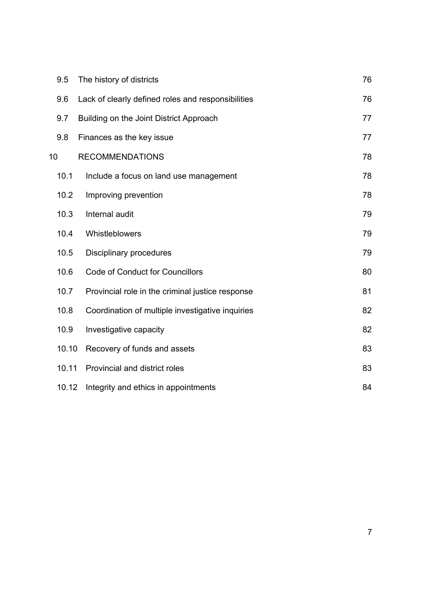|    | 9.5   | The history of districts                           | 76 |
|----|-------|----------------------------------------------------|----|
|    | 9.6   | Lack of clearly defined roles and responsibilities | 76 |
|    | 9.7   | Building on the Joint District Approach            | 77 |
|    | 9.8   | Finances as the key issue                          | 77 |
| 10 |       | <b>RECOMMENDATIONS</b>                             | 78 |
|    | 10.1  | Include a focus on land use management             | 78 |
|    | 10.2  | Improving prevention                               | 78 |
|    | 10.3  | Internal audit                                     | 79 |
|    | 10.4  | Whistleblowers                                     | 79 |
|    | 10.5  | <b>Disciplinary procedures</b>                     | 79 |
|    | 10.6  | <b>Code of Conduct for Councillors</b>             | 80 |
|    | 10.7  | Provincial role in the criminal justice response   | 81 |
|    | 10.8  | Coordination of multiple investigative inquiries   | 82 |
|    | 10.9  | Investigative capacity                             | 82 |
|    | 10.10 | Recovery of funds and assets                       | 83 |
|    | 10.11 | Provincial and district roles                      | 83 |
|    | 10.12 | Integrity and ethics in appointments               | 84 |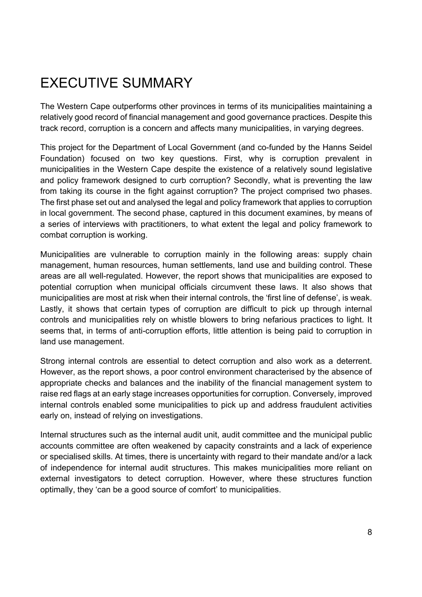# EXECUTIVE SUMMARY

The Western Cape outperforms other provinces in terms of its municipalities maintaining a relatively good record of financial management and good governance practices. Despite this track record, corruption is a concern and affects many municipalities, in varying degrees.

This project for the Department of Local Government (and co-funded by the Hanns Seidel Foundation) focused on two key questions. First, why is corruption prevalent in municipalities in the Western Cape despite the existence of a relatively sound legislative and policy framework designed to curb corruption? Secondly, what is preventing the law from taking its course in the fight against corruption? The project comprised two phases. The first phase set out and analysed the legal and policy framework that applies to corruption in local government. The second phase, captured in this document examines, by means of a series of interviews with practitioners, to what extent the legal and policy framework to combat corruption is working.

Municipalities are vulnerable to corruption mainly in the following areas: supply chain management, human resources, human settlements, land use and building control. These areas are all well-regulated. However, the report shows that municipalities are exposed to potential corruption when municipal officials circumvent these laws. It also shows that municipalities are most at risk when their internal controls, the 'first line of defense', is weak. Lastly, it shows that certain types of corruption are difficult to pick up through internal controls and municipalities rely on whistle blowers to bring nefarious practices to light. It seems that, in terms of anti-corruption efforts, little attention is being paid to corruption in land use management.

Strong internal controls are essential to detect corruption and also work as a deterrent. However, as the report shows, a poor control environment characterised by the absence of appropriate checks and balances and the inability of the financial management system to raise red flags at an early stage increases opportunities for corruption. Conversely, improved internal controls enabled some municipalities to pick up and address fraudulent activities early on, instead of relying on investigations.

Internal structures such as the internal audit unit, audit committee and the municipal public accounts committee are often weakened by capacity constraints and a lack of experience or specialised skills. At times, there is uncertainty with regard to their mandate and/or a lack of independence for internal audit structures. This makes municipalities more reliant on external investigators to detect corruption. However, where these structures function optimally, they 'can be a good source of comfort' to municipalities.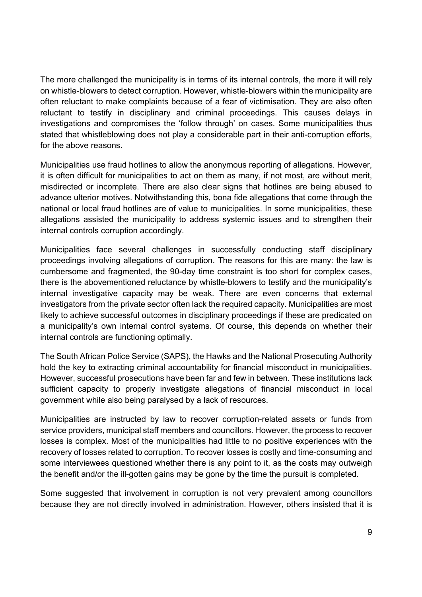The more challenged the municipality is in terms of its internal controls, the more it will rely on whistle-blowers to detect corruption. However, whistle-blowers within the municipality are often reluctant to make complaints because of a fear of victimisation. They are also often reluctant to testify in disciplinary and criminal proceedings. This causes delays in investigations and compromises the 'follow through' on cases. Some municipalities thus stated that whistleblowing does not play a considerable part in their anti-corruption efforts, for the above reasons.

Municipalities use fraud hotlines to allow the anonymous reporting of allegations. However, it is often difficult for municipalities to act on them as many, if not most, are without merit, misdirected or incomplete. There are also clear signs that hotlines are being abused to advance ulterior motives. Notwithstanding this, bona fide allegations that come through the national or local fraud hotlines are of value to municipalities. In some municipalities, these allegations assisted the municipality to address systemic issues and to strengthen their internal controls corruption accordingly.

Municipalities face several challenges in successfully conducting staff disciplinary proceedings involving allegations of corruption. The reasons for this are many: the law is cumbersome and fragmented, the 90-day time constraint is too short for complex cases, there is the abovementioned reluctance by whistle-blowers to testify and the municipality's internal investigative capacity may be weak. There are even concerns that external investigators from the private sector often lack the required capacity. Municipalities are most likely to achieve successful outcomes in disciplinary proceedings if these are predicated on a municipality's own internal control systems. Of course, this depends on whether their internal controls are functioning optimally.

The South African Police Service (SAPS), the Hawks and the National Prosecuting Authority hold the key to extracting criminal accountability for financial misconduct in municipalities. However, successful prosecutions have been far and few in between. These institutions lack sufficient capacity to properly investigate allegations of financial misconduct in local government while also being paralysed by a lack of resources.

Municipalities are instructed by law to recover corruption-related assets or funds from service providers, municipal staff members and councillors. However, the process to recover losses is complex. Most of the municipalities had little to no positive experiences with the recovery of losses related to corruption. To recover losses is costly and time-consuming and some interviewees questioned whether there is any point to it, as the costs may outweigh the benefit and/or the ill-gotten gains may be gone by the time the pursuit is completed.

Some suggested that involvement in corruption is not very prevalent among councillors because they are not directly involved in administration. However, others insisted that it is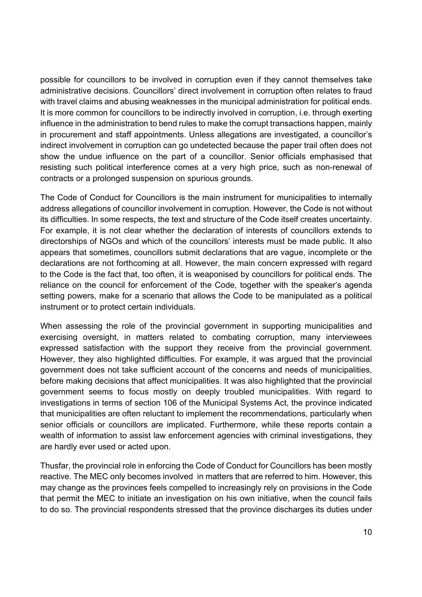possible for councillors to be involved in corruption even if they cannot themselves take administrative decisions. Councillors' direct involvement in corruption often relates to fraud with travel claims and abusing weaknesses in the municipal administration for political ends. It is more common for councillors to be indirectly involved in corruption, i.e. through exerting influence in the administration to bend rules to make the corrupt transactions happen, mainly in procurement and staff appointments. Unless allegations are investigated, a councillor's indirect involvement in corruption can go undetected because the paper trail often does not show the undue influence on the part of a councillor. Senior officials emphasised that resisting such political interference comes at a very high price, such as non-renewal of contracts or a prolonged suspension on spurious grounds.

The Code of Conduct for Councillors is the main instrument for municipalities to internally address allegations of councillor involvement in corruption. However, the Code is not without its difficulties. In some respects, the text and structure of the Code itself creates uncertainty. For example, it is not clear whether the declaration of interests of councillors extends to directorships of NGOs and which of the councillors' interests must be made public. It also appears that sometimes, councillors submit declarations that are vague, incomplete or the declarations are not forthcoming at all. However, the main concern expressed with regard to the Code is the fact that, too often, it is weaponised by councillors for political ends. The reliance on the council for enforcement of the Code, together with the speaker's agenda setting powers, make for a scenario that allows the Code to be manipulated as a political instrument or to protect certain individuals.

When assessing the role of the provincial government in supporting municipalities and exercising oversight, in matters related to combating corruption, many interviewees expressed satisfaction with the support they receive from the provincial government. However, they also highlighted difficulties. For example, it was argued that the provincial government does not take sufficient account of the concerns and needs of municipalities, before making decisions that affect municipalities. It was also highlighted that the provincial government seems to focus mostly on deeply troubled municipalities. With regard to investigations in terms of section 106 of the Municipal Systems Act, the province indicated that municipalities are often reluctant to implement the recommendations, particularly when senior officials or councillors are implicated. Furthermore, while these reports contain a wealth of information to assist law enforcement agencies with criminal investigations, they are hardly ever used or acted upon.

Thusfar, the provincial role in enforcing the Code of Conduct for Councillors has been mostly reactive. The MEC only becomes involved in matters that are referred to him. However, this may change as the provinces feels compelled to increasingly rely on provisions in the Code that permit the MEC to initiate an investigation on his own initiative, when the council fails to do so. The provincial respondents stressed that the province discharges its duties under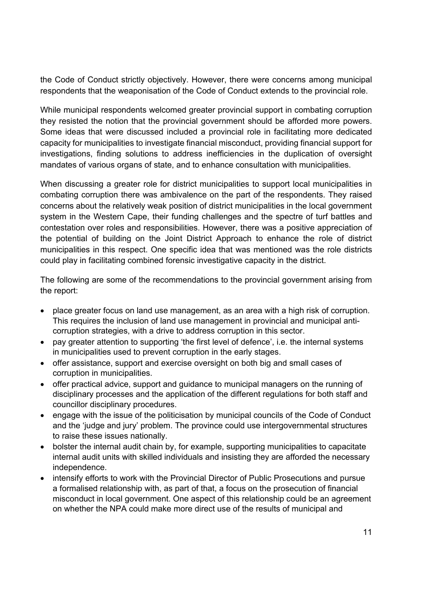the Code of Conduct strictly objectively. However, there were concerns among municipal respondents that the weaponisation of the Code of Conduct extends to the provincial role.

While municipal respondents welcomed greater provincial support in combating corruption they resisted the notion that the provincial government should be afforded more powers. Some ideas that were discussed included a provincial role in facilitating more dedicated capacity for municipalities to investigate financial misconduct, providing financial support for investigations, finding solutions to address inefficiencies in the duplication of oversight mandates of various organs of state, and to enhance consultation with municipalities.

When discussing a greater role for district municipalities to support local municipalities in combating corruption there was ambivalence on the part of the respondents. They raised concerns about the relatively weak position of district municipalities in the local government system in the Western Cape, their funding challenges and the spectre of turf battles and contestation over roles and responsibilities. However, there was a positive appreciation of the potential of building on the Joint District Approach to enhance the role of district municipalities in this respect. One specific idea that was mentioned was the role districts could play in facilitating combined forensic investigative capacity in the district.

The following are some of the recommendations to the provincial government arising from the report:

- place greater focus on land use management, as an area with a high risk of corruption. This requires the inclusion of land use management in provincial and municipal anticorruption strategies, with a drive to address corruption in this sector.
- pay greater attention to supporting 'the first level of defence', i.e. the internal systems in municipalities used to prevent corruption in the early stages.
- offer assistance, support and exercise oversight on both big and small cases of corruption in municipalities.
- offer practical advice, support and guidance to municipal managers on the running of disciplinary processes and the application of the different regulations for both staff and councillor disciplinary procedures.
- engage with the issue of the politicisation by municipal councils of the Code of Conduct and the 'judge and jury' problem. The province could use intergovernmental structures to raise these issues nationally.
- bolster the internal audit chain by, for example, supporting municipalities to capacitate internal audit units with skilled individuals and insisting they are afforded the necessary independence.
- intensify efforts to work with the Provincial Director of Public Prosecutions and pursue a formalised relationship with, as part of that, a focus on the prosecution of financial misconduct in local government. One aspect of this relationship could be an agreement on whether the NPA could make more direct use of the results of municipal and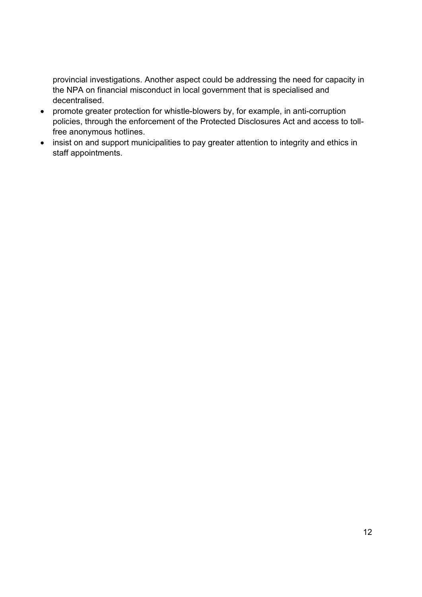provincial investigations. Another aspect could be addressing the need for capacity in the NPA on financial misconduct in local government that is specialised and decentralised.

- promote greater protection for whistle-blowers by, for example, in anti-corruption policies, through the enforcement of the Protected Disclosures Act and access to tollfree anonymous hotlines.
- insist on and support municipalities to pay greater attention to integrity and ethics in staff appointments.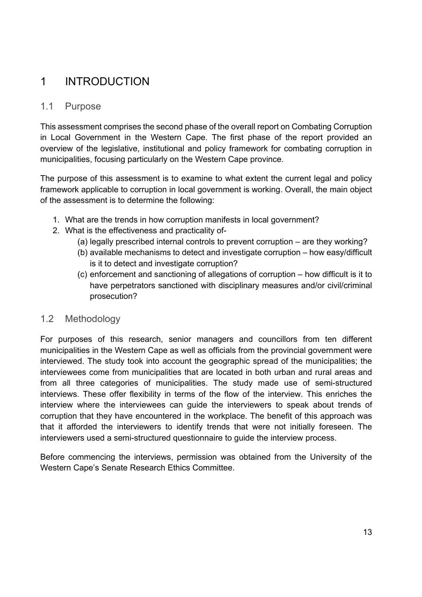# 1 INTRODUCTION

# 1.1 Purpose

This assessment comprises the second phase of the overall report on Combating Corruption in Local Government in the Western Cape. The first phase of the report provided an overview of the legislative, institutional and policy framework for combating corruption in municipalities, focusing particularly on the Western Cape province.

The purpose of this assessment is to examine to what extent the current legal and policy framework applicable to corruption in local government is working. Overall, the main object of the assessment is to determine the following:

- 1. What are the trends in how corruption manifests in local government?
- 2. What is the effectiveness and practicality of-
	- (a) legally prescribed internal controls to prevent corruption are they working?
	- (b) available mechanisms to detect and investigate corruption how easy/difficult is it to detect and investigate corruption?
	- (c) enforcement and sanctioning of allegations of corruption how difficult is it to have perpetrators sanctioned with disciplinary measures and/or civil/criminal prosecution?

# 1.2 Methodology

For purposes of this research, senior managers and councillors from ten different municipalities in the Western Cape as well as officials from the provincial government were interviewed. The study took into account the geographic spread of the municipalities; the interviewees come from municipalities that are located in both urban and rural areas and from all three categories of municipalities. The study made use of semi-structured interviews. These offer flexibility in terms of the flow of the interview. This enriches the interview where the interviewees can guide the interviewers to speak about trends of corruption that they have encountered in the workplace. The benefit of this approach was that it afforded the interviewers to identify trends that were not initially foreseen. The interviewers used a semi-structured questionnaire to guide the interview process.

Before commencing the interviews, permission was obtained from the University of the Western Cape's Senate Research Ethics Committee.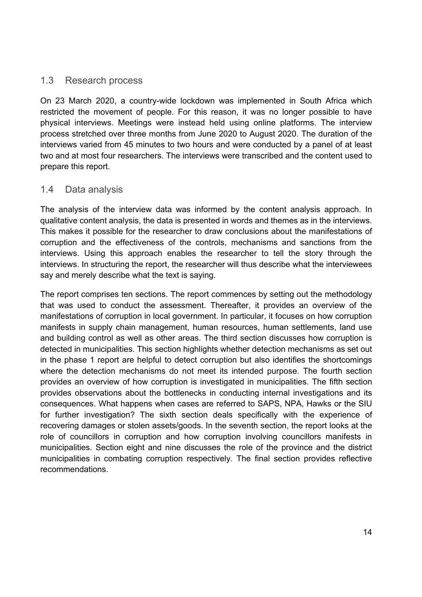#### 1.3 Research process

On 23 March 2020, a country-wide lockdown was implemented in South Africa which restricted the movement of people. For this reason, it was no longer possible to have physical interviews. Meetings were instead held using online platforms. The interview process stretched over three months from June 2020 to August 2020. The duration of the interviews varied from 45 minutes to two hours and were conducted by a panel of at least two and at most four researchers. The interviews were transcribed and the content used to prepare this report.

## 1.4 Data analysis

The analysis of the interview data was informed by the content analysis approach. In qualitative content analysis, the data is presented in words and themes as in the interviews. This makes it possible for the researcher to draw conclusions about the manifestations of corruption and the effectiveness of the controls, mechanisms and sanctions from the interviews. Using this approach enables the researcher to tell the story through the interviews. In structuring the report, the researcher will thus describe what the interviewees say and merely describe what the text is saying.

The report comprises ten sections. The report commences by setting out the methodology that was used to conduct the assessment. Thereafter, it provides an overview of the manifestations of corruption in local government. In particular, it focuses on how corruption manifests in supply chain management, human resources, human settlements, land use and building control as well as other areas. The third section discusses how corruption is detected in municipalities. This section highlights whether detection mechanisms as set out in the phase 1 report are helpful to detect corruption but also identifies the shortcomings where the detection mechanisms do not meet its intended purpose. The fourth section provides an overview of how corruption is investigated in municipalities. The fifth section provides observations about the bottlenecks in conducting internal investigations and its consequences. What happens when cases are referred to SAPS, NPA, Hawks or the SIU for further investigation? The sixth section deals specifically with the experience of recovering damages or stolen assets/goods. In the seventh section, the report looks at the role of councillors in corruption and how corruption involving councillors manifests in municipalities. Section eight and nine discusses the role of the province and the district municipalities in combating corruption respectively. The final section provides reflective recommendations.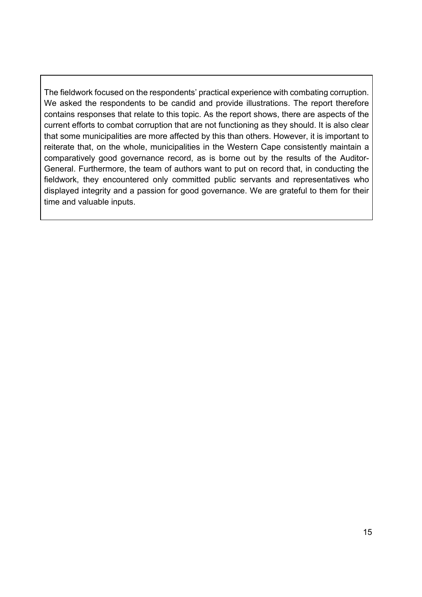The fieldwork focused on the respondents' practical experience with combating corruption. We asked the respondents to be candid and provide illustrations. The report therefore contains responses that relate to this topic. As the report shows, there are aspects of the current efforts to combat corruption that are not functioning as they should. It is also clear that some municipalities are more affected by this than others. However, it is important to reiterate that, on the whole, municipalities in the Western Cape consistently maintain a comparatively good governance record, as is borne out by the results of the Auditor-General. Furthermore, the team of authors want to put on record that, in conducting the fieldwork, they encountered only committed public servants and representatives who displayed integrity and a passion for good governance. We are grateful to them for their time and valuable inputs.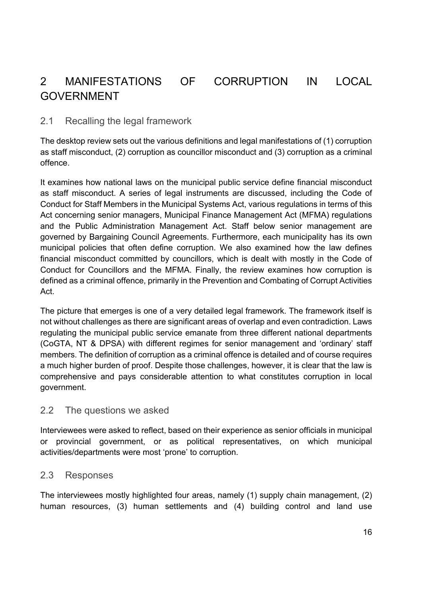# 2 MANIFESTATIONS OF CORRUPTION IN LOCAL GOVERNMENT

# 2.1 Recalling the legal framework

The desktop review sets out the various definitions and legal manifestations of (1) corruption as staff misconduct, (2) corruption as councillor misconduct and (3) corruption as a criminal offence.

It examines how national laws on the municipal public service define financial misconduct as staff misconduct. A series of legal instruments are discussed, including the Code of Conduct for Staff Members in the Municipal Systems Act, various regulations in terms of this Act concerning senior managers, Municipal Finance Management Act (MFMA) regulations and the Public Administration Management Act. Staff below senior management are governed by Bargaining Council Agreements. Furthermore, each municipality has its own municipal policies that often define corruption. We also examined how the law defines financial misconduct committed by councillors, which is dealt with mostly in the Code of Conduct for Councillors and the MFMA. Finally, the review examines how corruption is defined as a criminal offence, primarily in the Prevention and Combating of Corrupt Activities Act.

The picture that emerges is one of a very detailed legal framework. The framework itself is not without challenges as there are significant areas of overlap and even contradiction. Laws regulating the municipal public service emanate from three different national departments (CoGTA, NT & DPSA) with different regimes for senior management and 'ordinary' staff members. The definition of corruption as a criminal offence is detailed and of course requires a much higher burden of proof. Despite those challenges, however, it is clear that the law is comprehensive and pays considerable attention to what constitutes corruption in local government.

# 2.2 The questions we asked

Interviewees were asked to reflect, based on their experience as senior officials in municipal or provincial government, or as political representatives, on which municipal activities/departments were most 'prone' to corruption.

## 2.3 Responses

The interviewees mostly highlighted four areas, namely (1) supply chain management, (2) human resources, (3) human settlements and (4) building control and land use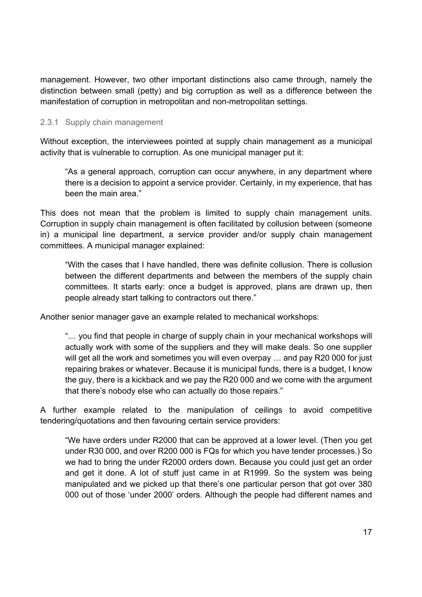management. However, two other important distinctions also came through, namely the distinction between small (petty) and big corruption as well as a difference between the manifestation of corruption in metropolitan and non-metropolitan settings.

#### 2.3.1 Supply chain management

Without exception, the interviewees pointed at supply chain management as a municipal activity that is vulnerable to corruption. As one municipal manager put it:

"As a general approach, corruption can occur anywhere, in any department where there is a decision to appoint a service provider. Certainly, in my experience, that has been the main area."

This does not mean that the problem is limited to supply chain management units. Corruption in supply chain management is often facilitated by collusion between (someone in) a municipal line department, a service provider and/or supply chain management committees. A municipal manager explained:

"With the cases that I have handled, there was definite collusion. There is collusion between the different departments and between the members of the supply chain committees. It starts early: once a budget is approved, plans are drawn up, then people already start talking to contractors out there."

Another senior manager gave an example related to mechanical workshops:

"… you find that people in charge of supply chain in your mechanical workshops will actually work with some of the suppliers and they will make deals. So one supplier will get all the work and sometimes you will even overpay … and pay R20 000 for just repairing brakes or whatever. Because it is municipal funds, there is a budget, I know the guy, there is a kickback and we pay the R20 000 and we come with the argument that there's nobody else who can actually do those repairs."

A further example related to the manipulation of ceilings to avoid competitive tendering/quotations and then favouring certain service providers:

"We have orders under R2000 that can be approved at a lower level. (Then you get under R30 000, and over R200 000 is FQs for which you have tender processes.) So we had to bring the under R2000 orders down. Because you could just get an order and get it done. A lot of stuff just came in at R1999. So the system was being manipulated and we picked up that there's one particular person that got over 380 000 out of those 'under 2000' orders. Although the people had different names and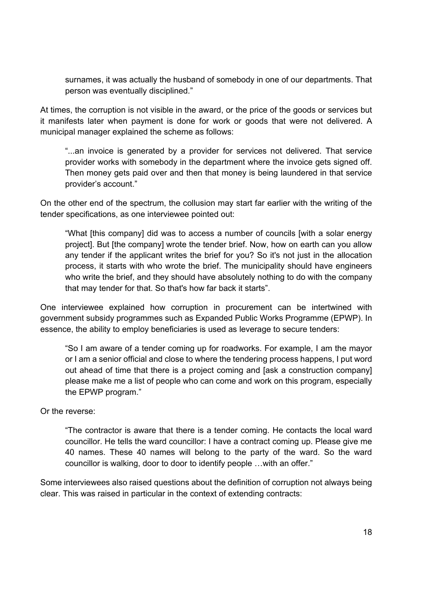surnames, it was actually the husband of somebody in one of our departments. That person was eventually disciplined."

At times, the corruption is not visible in the award, or the price of the goods or services but it manifests later when payment is done for work or goods that were not delivered. A municipal manager explained the scheme as follows:

"...an invoice is generated by a provider for services not delivered. That service provider works with somebody in the department where the invoice gets signed off. Then money gets paid over and then that money is being laundered in that service provider's account."

On the other end of the spectrum, the collusion may start far earlier with the writing of the tender specifications, as one interviewee pointed out:

"What [this company] did was to access a number of councils [with a solar energy project]. But [the company] wrote the tender brief. Now, how on earth can you allow any tender if the applicant writes the brief for you? So it's not just in the allocation process, it starts with who wrote the brief. The municipality should have engineers who write the brief, and they should have absolutely nothing to do with the company that may tender for that. So that's how far back it starts".

One interviewee explained how corruption in procurement can be intertwined with government subsidy programmes such as Expanded Public Works Programme (EPWP). In essence, the ability to employ beneficiaries is used as leverage to secure tenders:

"So I am aware of a tender coming up for roadworks. For example, I am the mayor or I am a senior official and close to where the tendering process happens, I put word out ahead of time that there is a project coming and [ask a construction company] please make me a list of people who can come and work on this program, especially the EPWP program."

Or the reverse:

"The contractor is aware that there is a tender coming. He contacts the local ward councillor. He tells the ward councillor: I have a contract coming up. Please give me 40 names. These 40 names will belong to the party of the ward. So the ward councillor is walking, door to door to identify people …with an offer."

Some interviewees also raised questions about the definition of corruption not always being clear. This was raised in particular in the context of extending contracts: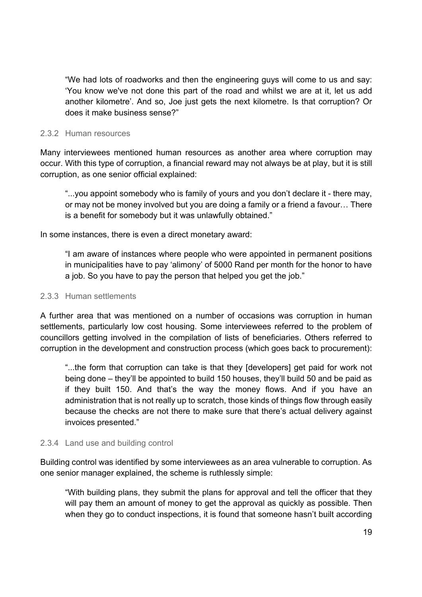"We had lots of roadworks and then the engineering guys will come to us and say: 'You know we've not done this part of the road and whilst we are at it, let us add another kilometre'. And so, Joe just gets the next kilometre. Is that corruption? Or does it make business sense?"

#### 2.3.2 Human resources

Many interviewees mentioned human resources as another area where corruption may occur. With this type of corruption, a financial reward may not always be at play, but it is still corruption, as one senior official explained:

"...you appoint somebody who is family of yours and you don't declare it - there may, or may not be money involved but you are doing a family or a friend a favour… There is a benefit for somebody but it was unlawfully obtained."

In some instances, there is even a direct monetary award:

"I am aware of instances where people who were appointed in permanent positions in municipalities have to pay 'alimony' of 5000 Rand per month for the honor to have a job. So you have to pay the person that helped you get the job."

#### 2.3.3 Human settlements

A further area that was mentioned on a number of occasions was corruption in human settlements, particularly low cost housing. Some interviewees referred to the problem of councillors getting involved in the compilation of lists of beneficiaries. Others referred to corruption in the development and construction process (which goes back to procurement):

"...the form that corruption can take is that they [developers] get paid for work not being done – they'll be appointed to build 150 houses, they'll build 50 and be paid as if they built 150. And that's the way the money flows. And if you have an administration that is not really up to scratch, those kinds of things flow through easily because the checks are not there to make sure that there's actual delivery against invoices presented."

#### 2.3.4 Land use and building control

Building control was identified by some interviewees as an area vulnerable to corruption. As one senior manager explained, the scheme is ruthlessly simple:

"With building plans, they submit the plans for approval and tell the officer that they will pay them an amount of money to get the approval as quickly as possible. Then when they go to conduct inspections, it is found that someone hasn't built according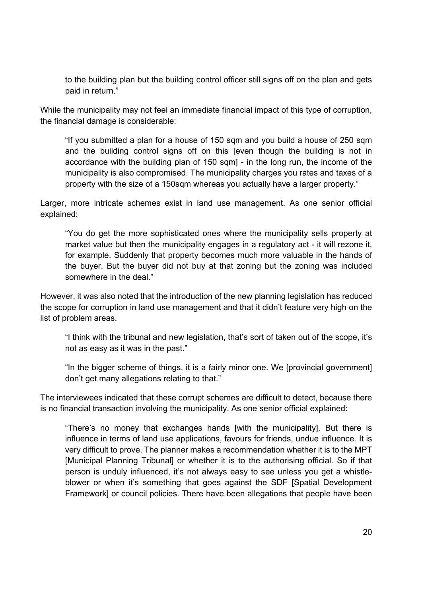to the building plan but the building control officer still signs off on the plan and gets paid in return."

While the municipality may not feel an immediate financial impact of this type of corruption, the financial damage is considerable:

"If you submitted a plan for a house of 150 sqm and you build a house of 250 sqm and the building control signs off on this [even though the building is not in accordance with the building plan of 150 sqm] - in the long run, the income of the municipality is also compromised. The municipality charges you rates and taxes of a property with the size of a 150sqm whereas you actually have a larger property."

Larger, more intricate schemes exist in land use management. As one senior official explained:

"You do get the more sophisticated ones where the municipality sells property at market value but then the municipality engages in a regulatory act - it will rezone it, for example. Suddenly that property becomes much more valuable in the hands of the buyer. But the buyer did not buy at that zoning but the zoning was included somewhere in the deal."

However, it was also noted that the introduction of the new planning legislation has reduced the scope for corruption in land use management and that it didn't feature very high on the list of problem areas.

"I think with the tribunal and new legislation, that's sort of taken out of the scope, it's not as easy as it was in the past."

"In the bigger scheme of things, it is a fairly minor one. We [provincial government] don't get many allegations relating to that."

The interviewees indicated that these corrupt schemes are difficult to detect, because there is no financial transaction involving the municipality. As one senior official explained:

"There's no money that exchanges hands [with the municipality]. But there is influence in terms of land use applications, favours for friends, undue influence. It is very difficult to prove. The planner makes a recommendation whether it is to the MPT [Municipal Planning Tribunal] or whether it is to the authorising official. So if that person is unduly influenced, it's not always easy to see unless you get a whistleblower or when it's something that goes against the SDF [Spatial Development Framework] or council policies. There have been allegations that people have been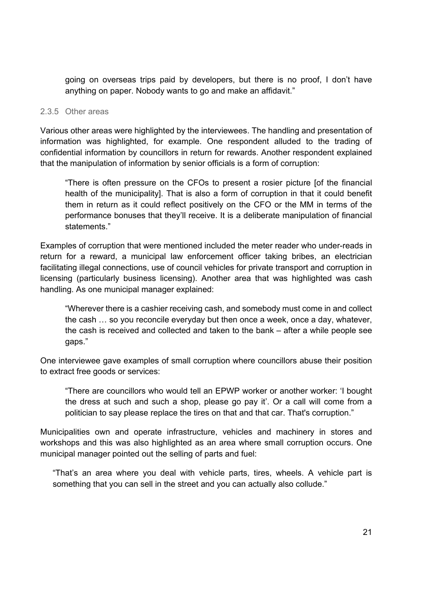going on overseas trips paid by developers, but there is no proof, I don't have anything on paper. Nobody wants to go and make an affidavit."

#### 2.3.5 Other areas

Various other areas were highlighted by the interviewees. The handling and presentation of information was highlighted, for example. One respondent alluded to the trading of confidential information by councillors in return for rewards. Another respondent explained that the manipulation of information by senior officials is a form of corruption:

"There is often pressure on the CFOs to present a rosier picture [of the financial health of the municipality]. That is also a form of corruption in that it could benefit them in return as it could reflect positively on the CFO or the MM in terms of the performance bonuses that they'll receive. It is a deliberate manipulation of financial statements."

Examples of corruption that were mentioned included the meter reader who under-reads in return for a reward, a municipal law enforcement officer taking bribes, an electrician facilitating illegal connections, use of council vehicles for private transport and corruption in licensing (particularly business licensing). Another area that was highlighted was cash handling. As one municipal manager explained:

"Wherever there is a cashier receiving cash, and somebody must come in and collect the cash … so you reconcile everyday but then once a week, once a day, whatever, the cash is received and collected and taken to the bank – after a while people see gaps."

One interviewee gave examples of small corruption where councillors abuse their position to extract free goods or services:

"There are councillors who would tell an EPWP worker or another worker: 'I bought the dress at such and such a shop, please go pay it'. Or a call will come from a politician to say please replace the tires on that and that car. That's corruption."

Municipalities own and operate infrastructure, vehicles and machinery in stores and workshops and this was also highlighted as an area where small corruption occurs. One municipal manager pointed out the selling of parts and fuel:

"That's an area where you deal with vehicle parts, tires, wheels. A vehicle part is something that you can sell in the street and you can actually also collude."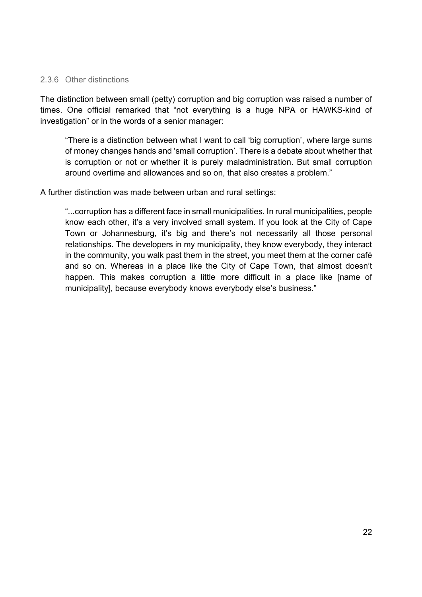#### 2.3.6 Other distinctions

The distinction between small (petty) corruption and big corruption was raised a number of times. One official remarked that "not everything is a huge NPA or HAWKS-kind of investigation" or in the words of a senior manager:

"There is a distinction between what I want to call 'big corruption', where large sums of money changes hands and 'small corruption'. There is a debate about whether that is corruption or not or whether it is purely maladministration. But small corruption around overtime and allowances and so on, that also creates a problem."

A further distinction was made between urban and rural settings:

"...corruption has a different face in small municipalities. In rural municipalities, people know each other, it's a very involved small system. If you look at the City of Cape Town or Johannesburg, it's big and there's not necessarily all those personal relationships. The developers in my municipality, they know everybody, they interact in the community, you walk past them in the street, you meet them at the corner café and so on. Whereas in a place like the City of Cape Town, that almost doesn't happen. This makes corruption a little more difficult in a place like [name of municipality], because everybody knows everybody else's business."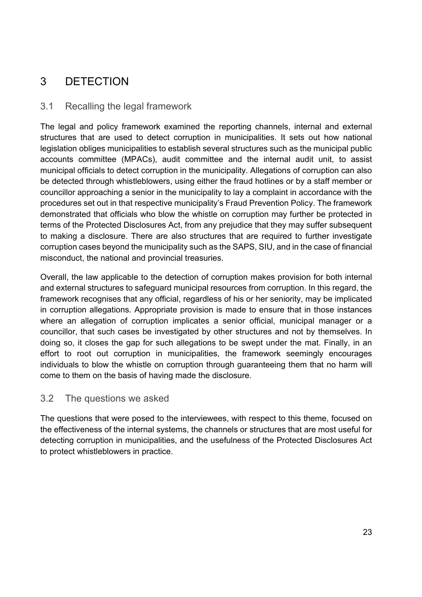# 3 DETECTION

# 3.1 Recalling the legal framework

The legal and policy framework examined the reporting channels, internal and external structures that are used to detect corruption in municipalities. It sets out how national legislation obliges municipalities to establish several structures such as the municipal public accounts committee (MPACs), audit committee and the internal audit unit, to assist municipal officials to detect corruption in the municipality. Allegations of corruption can also be detected through whistleblowers, using either the fraud hotlines or by a staff member or councillor approaching a senior in the municipality to lay a complaint in accordance with the procedures set out in that respective municipality's Fraud Prevention Policy. The framework demonstrated that officials who blow the whistle on corruption may further be protected in terms of the Protected Disclosures Act, from any prejudice that they may suffer subsequent to making a disclosure. There are also structures that are required to further investigate corruption cases beyond the municipality such as the SAPS, SIU, and in the case of financial misconduct, the national and provincial treasuries.

Overall, the law applicable to the detection of corruption makes provision for both internal and external structures to safeguard municipal resources from corruption. In this regard, the framework recognises that any official, regardless of his or her seniority, may be implicated in corruption allegations. Appropriate provision is made to ensure that in those instances where an allegation of corruption implicates a senior official, municipal manager or a councillor, that such cases be investigated by other structures and not by themselves. In doing so, it closes the gap for such allegations to be swept under the mat. Finally, in an effort to root out corruption in municipalities, the framework seemingly encourages individuals to blow the whistle on corruption through guaranteeing them that no harm will come to them on the basis of having made the disclosure.

# 3.2 The questions we asked

The questions that were posed to the interviewees, with respect to this theme, focused on the effectiveness of the internal systems, the channels or structures that are most useful for detecting corruption in municipalities, and the usefulness of the Protected Disclosures Act to protect whistleblowers in practice.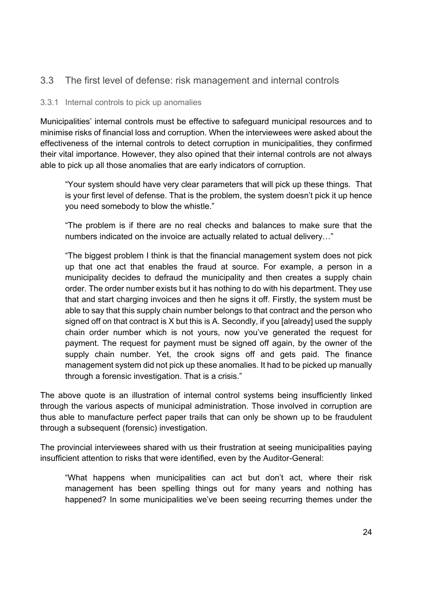# 3.3 The first level of defense: risk management and internal controls

#### 3.3.1 Internal controls to pick up anomalies

Municipalities' internal controls must be effective to safeguard municipal resources and to minimise risks of financial loss and corruption. When the interviewees were asked about the effectiveness of the internal controls to detect corruption in municipalities, they confirmed their vital importance. However, they also opined that their internal controls are not always able to pick up all those anomalies that are early indicators of corruption.

"Your system should have very clear parameters that will pick up these things. That is your first level of defense. That is the problem, the system doesn't pick it up hence you need somebody to blow the whistle."

"The problem is if there are no real checks and balances to make sure that the numbers indicated on the invoice are actually related to actual delivery…"

"The biggest problem I think is that the financial management system does not pick up that one act that enables the fraud at source. For example, a person in a municipality decides to defraud the municipality and then creates a supply chain order. The order number exists but it has nothing to do with his department. They use that and start charging invoices and then he signs it off. Firstly, the system must be able to say that this supply chain number belongs to that contract and the person who signed off on that contract is X but this is A. Secondly, if you [already] used the supply chain order number which is not yours, now you've generated the request for payment. The request for payment must be signed off again, by the owner of the supply chain number. Yet, the crook signs off and gets paid. The finance management system did not pick up these anomalies. It had to be picked up manually through a forensic investigation. That is a crisis."

The above quote is an illustration of internal control systems being insufficiently linked through the various aspects of municipal administration. Those involved in corruption are thus able to manufacture perfect paper trails that can only be shown up to be fraudulent through a subsequent (forensic) investigation.

The provincial interviewees shared with us their frustration at seeing municipalities paying insufficient attention to risks that were identified, even by the Auditor-General:

"What happens when municipalities can act but don't act, where their risk management has been spelling things out for many years and nothing has happened? In some municipalities we've been seeing recurring themes under the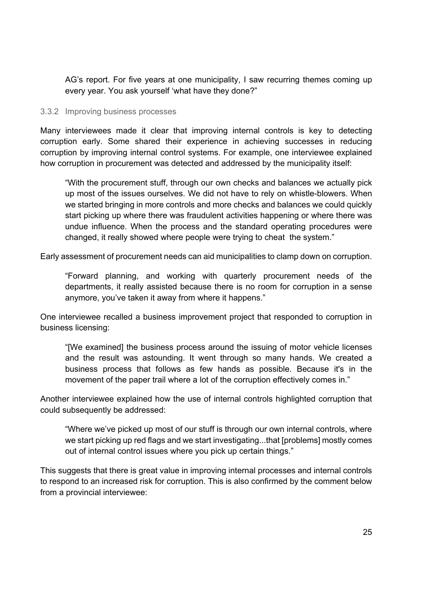AG's report. For five years at one municipality, I saw recurring themes coming up every year. You ask yourself 'what have they done?"

#### 3.3.2 Improving business processes

Many interviewees made it clear that improving internal controls is key to detecting corruption early. Some shared their experience in achieving successes in reducing corruption by improving internal control systems. For example, one interviewee explained how corruption in procurement was detected and addressed by the municipality itself:

"With the procurement stuff, through our own checks and balances we actually pick up most of the issues ourselves. We did not have to rely on whistle-blowers. When we started bringing in more controls and more checks and balances we could quickly start picking up where there was fraudulent activities happening or where there was undue influence. When the process and the standard operating procedures were changed, it really showed where people were trying to cheat the system."

Early assessment of procurement needs can aid municipalities to clamp down on corruption.

"Forward planning, and working with quarterly procurement needs of the departments, it really assisted because there is no room for corruption in a sense anymore, you've taken it away from where it happens."

One interviewee recalled a business improvement project that responded to corruption in business licensing:

"[We examined] the business process around the issuing of motor vehicle licenses and the result was astounding. It went through so many hands. We created a business process that follows as few hands as possible. Because it's in the movement of the paper trail where a lot of the corruption effectively comes in."

Another interviewee explained how the use of internal controls highlighted corruption that could subsequently be addressed:

"Where we've picked up most of our stuff is through our own internal controls, where we start picking up red flags and we start investigating...that [problems] mostly comes out of internal control issues where you pick up certain things."

This suggests that there is great value in improving internal processes and internal controls to respond to an increased risk for corruption. This is also confirmed by the comment below from a provincial interviewee: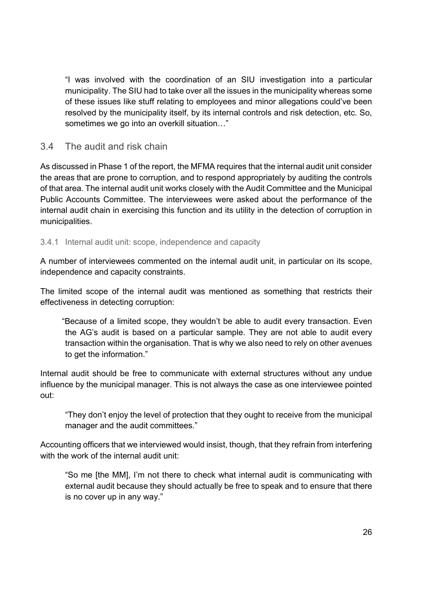"I was involved with the coordination of an SIU investigation into a particular municipality. The SIU had to take over all the issues in the municipality whereas some of these issues like stuff relating to employees and minor allegations could've been resolved by the municipality itself, by its internal controls and risk detection, etc. So, sometimes we go into an overkill situation…"

## 3.4 The audit and risk chain

As discussed in Phase 1 of the report, the MFMA requires that the internal audit unit consider the areas that are prone to corruption, and to respond appropriately by auditing the controls of that area. The internal audit unit works closely with the Audit Committee and the Municipal Public Accounts Committee. The interviewees were asked about the performance of the internal audit chain in exercising this function and its utility in the detection of corruption in municipalities.

#### 3.4.1 Internal audit unit: scope, independence and capacity

A number of interviewees commented on the internal audit unit, in particular on its scope, independence and capacity constraints.

The limited scope of the internal audit was mentioned as something that restricts their effectiveness in detecting corruption:

"Because of a limited scope, they wouldn't be able to audit every transaction. Even the AG's audit is based on a particular sample. They are not able to audit every transaction within the organisation. That is why we also need to rely on other avenues to get the information."

Internal audit should be free to communicate with external structures without any undue influence by the municipal manager. This is not always the case as one interviewee pointed out:

"They don't enjoy the level of protection that they ought to receive from the municipal manager and the audit committees."

Accounting officers that we interviewed would insist, though, that they refrain from interfering with the work of the internal audit unit:

"So me [the MM], I'm not there to check what internal audit is communicating with external audit because they should actually be free to speak and to ensure that there is no cover up in any way."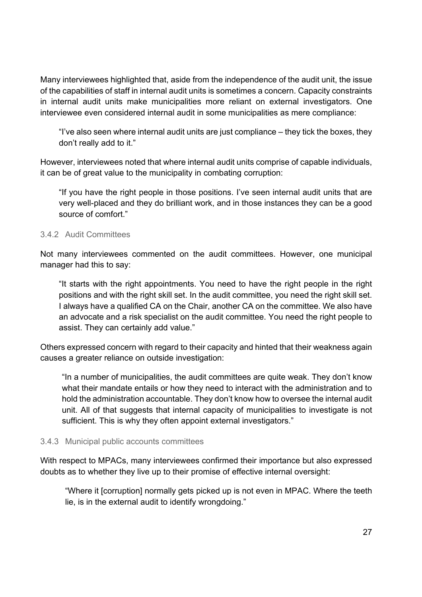Many interviewees highlighted that, aside from the independence of the audit unit, the issue of the capabilities of staff in internal audit units is sometimes a concern. Capacity constraints in internal audit units make municipalities more reliant on external investigators. One interviewee even considered internal audit in some municipalities as mere compliance:

"I've also seen where internal audit units are just compliance – they tick the boxes, they don't really add to it."

However, interviewees noted that where internal audit units comprise of capable individuals, it can be of great value to the municipality in combating corruption:

"If you have the right people in those positions. I've seen internal audit units that are very well-placed and they do brilliant work, and in those instances they can be a good source of comfort."

#### 3.4.2 Audit Committees

Not many interviewees commented on the audit committees. However, one municipal manager had this to say:

"It starts with the right appointments. You need to have the right people in the right positions and with the right skill set. In the audit committee, you need the right skill set. I always have a qualified CA on the Chair, another CA on the committee. We also have an advocate and a risk specialist on the audit committee. You need the right people to assist. They can certainly add value."

Others expressed concern with regard to their capacity and hinted that their weakness again causes a greater reliance on outside investigation:

"In a number of municipalities, the audit committees are quite weak. They don't know what their mandate entails or how they need to interact with the administration and to hold the administration accountable. They don't know how to oversee the internal audit unit. All of that suggests that internal capacity of municipalities to investigate is not sufficient. This is why they often appoint external investigators."

#### 3.4.3 Municipal public accounts committees

With respect to MPACs, many interviewees confirmed their importance but also expressed doubts as to whether they live up to their promise of effective internal oversight:

"Where it [corruption] normally gets picked up is not even in MPAC. Where the teeth lie, is in the external audit to identify wrongdoing."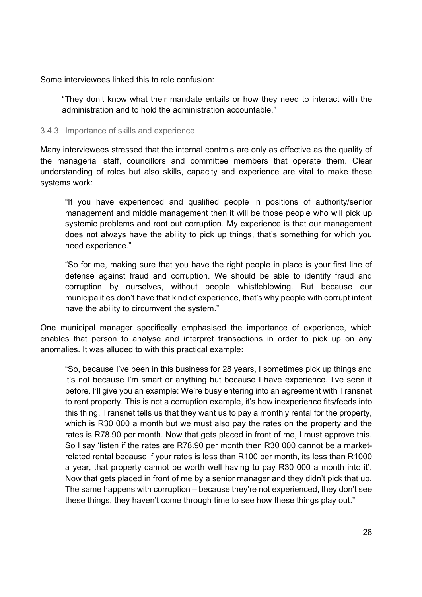Some interviewees linked this to role confusion:

"They don't know what their mandate entails or how they need to interact with the administration and to hold the administration accountable."

#### 3.4.3 Importance of skills and experience

Many interviewees stressed that the internal controls are only as effective as the quality of the managerial staff, councillors and committee members that operate them. Clear understanding of roles but also skills, capacity and experience are vital to make these systems work:

"If you have experienced and qualified people in positions of authority/senior management and middle management then it will be those people who will pick up systemic problems and root out corruption. My experience is that our management does not always have the ability to pick up things, that's something for which you need experience."

"So for me, making sure that you have the right people in place is your first line of defense against fraud and corruption. We should be able to identify fraud and corruption by ourselves, without people whistleblowing. But because our municipalities don't have that kind of experience, that's why people with corrupt intent have the ability to circumvent the system."

One municipal manager specifically emphasised the importance of experience, which enables that person to analyse and interpret transactions in order to pick up on any anomalies. It was alluded to with this practical example:

"So, because I've been in this business for 28 years, I sometimes pick up things and it's not because I'm smart or anything but because I have experience. I've seen it before. I'll give you an example: We're busy entering into an agreement with Transnet to rent property. This is not a corruption example, it's how inexperience fits/feeds into this thing. Transnet tells us that they want us to pay a monthly rental for the property, which is R30 000 a month but we must also pay the rates on the property and the rates is R78.90 per month. Now that gets placed in front of me, I must approve this. So I say 'listen if the rates are R78.90 per month then R30 000 cannot be a marketrelated rental because if your rates is less than R100 per month, its less than R1000 a year, that property cannot be worth well having to pay R30 000 a month into it'. Now that gets placed in front of me by a senior manager and they didn't pick that up. The same happens with corruption – because they're not experienced, they don't see these things, they haven't come through time to see how these things play out."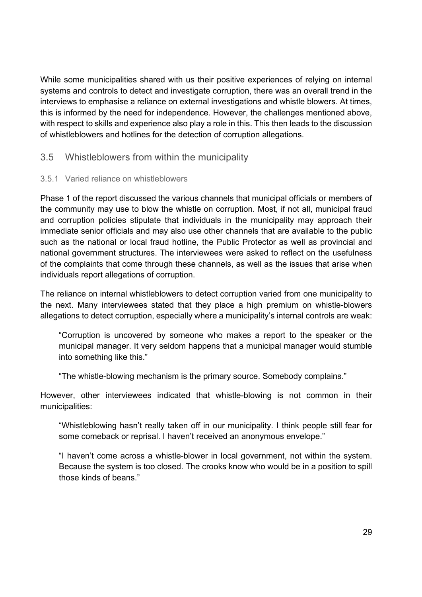While some municipalities shared with us their positive experiences of relying on internal systems and controls to detect and investigate corruption, there was an overall trend in the interviews to emphasise a reliance on external investigations and whistle blowers. At times, this is informed by the need for independence. However, the challenges mentioned above, with respect to skills and experience also play a role in this. This then leads to the discussion of whistleblowers and hotlines for the detection of corruption allegations.

# 3.5 Whistleblowers from within the municipality

#### 3.5.1 Varied reliance on whistleblowers

Phase 1 of the report discussed the various channels that municipal officials or members of the community may use to blow the whistle on corruption. Most, if not all, municipal fraud and corruption policies stipulate that individuals in the municipality may approach their immediate senior officials and may also use other channels that are available to the public such as the national or local fraud hotline, the Public Protector as well as provincial and national government structures. The interviewees were asked to reflect on the usefulness of the complaints that come through these channels, as well as the issues that arise when individuals report allegations of corruption.

The reliance on internal whistleblowers to detect corruption varied from one municipality to the next. Many interviewees stated that they place a high premium on whistle-blowers allegations to detect corruption, especially where a municipality's internal controls are weak:

"Corruption is uncovered by someone who makes a report to the speaker or the municipal manager. It very seldom happens that a municipal manager would stumble into something like this."

"The whistle-blowing mechanism is the primary source. Somebody complains."

However, other interviewees indicated that whistle-blowing is not common in their municipalities:

"Whistleblowing hasn't really taken off in our municipality. I think people still fear for some comeback or reprisal. I haven't received an anonymous envelope."

"I haven't come across a whistle-blower in local government, not within the system. Because the system is too closed. The crooks know who would be in a position to spill those kinds of beans."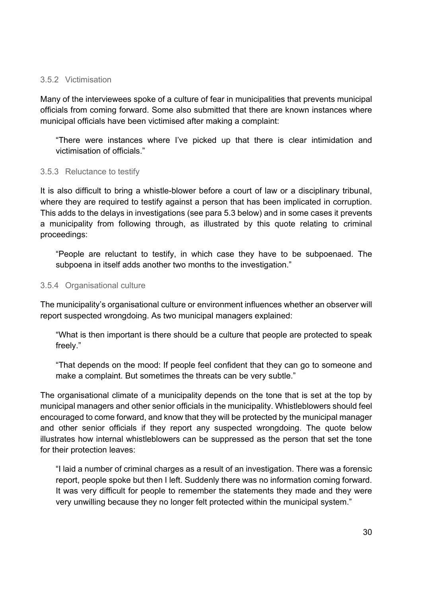#### 3.5.2 Victimisation

Many of the interviewees spoke of a culture of fear in municipalities that prevents municipal officials from coming forward. Some also submitted that there are known instances where municipal officials have been victimised after making a complaint:

"There were instances where I've picked up that there is clear intimidation and victimisation of officials."

#### 3.5.3 Reluctance to testify

It is also difficult to bring a whistle-blower before a court of law or a disciplinary tribunal, where they are required to testify against a person that has been implicated in corruption. This adds to the delays in investigations (see para 5.3 below) and in some cases it prevents a municipality from following through, as illustrated by this quote relating to criminal proceedings:

"People are reluctant to testify, in which case they have to be subpoenaed. The subpoena in itself adds another two months to the investigation."

#### 3.5.4 Organisational culture

The municipality's organisational culture or environment influences whether an observer will report suspected wrongdoing. As two municipal managers explained:

"What is then important is there should be a culture that people are protected to speak freely."

"That depends on the mood: If people feel confident that they can go to someone and make a complaint. But sometimes the threats can be very subtle."

The organisational climate of a municipality depends on the tone that is set at the top by municipal managers and other senior officials in the municipality. Whistleblowers should feel encouraged to come forward, and know that they will be protected by the municipal manager and other senior officials if they report any suspected wrongdoing. The quote below illustrates how internal whistleblowers can be suppressed as the person that set the tone for their protection leaves:

"I laid a number of criminal charges as a result of an investigation. There was a forensic report, people spoke but then I left. Suddenly there was no information coming forward. It was very difficult for people to remember the statements they made and they were very unwilling because they no longer felt protected within the municipal system."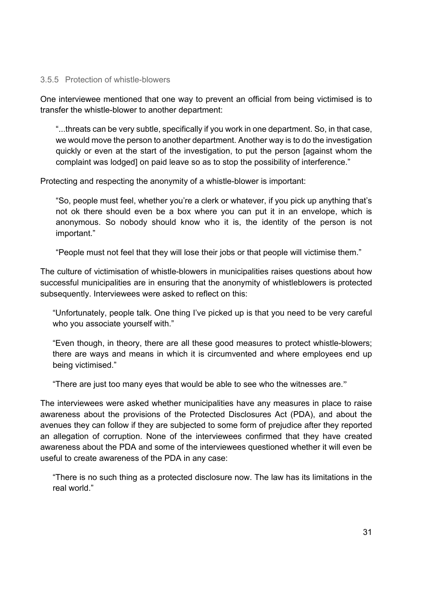#### 3.5.5 Protection of whistle-blowers

One interviewee mentioned that one way to prevent an official from being victimised is to transfer the whistle-blower to another department:

"...threats can be very subtle, specifically if you work in one department. So, in that case, we would move the person to another department. Another way is to do the investigation quickly or even at the start of the investigation, to put the person [against whom the complaint was lodged] on paid leave so as to stop the possibility of interference."

Protecting and respecting the anonymity of a whistle-blower is important:

"So, people must feel, whether you're a clerk or whatever, if you pick up anything that's not ok there should even be a box where you can put it in an envelope, which is anonymous. So nobody should know who it is, the identity of the person is not important."

"People must not feel that they will lose their jobs or that people will victimise them."

The culture of victimisation of whistle-blowers in municipalities raises questions about how successful municipalities are in ensuring that the anonymity of whistleblowers is protected subsequently. Interviewees were asked to reflect on this:

"Unfortunately, people talk. One thing I've picked up is that you need to be very careful who you associate yourself with."

"Even though, in theory, there are all these good measures to protect whistle-blowers; there are ways and means in which it is circumvented and where employees end up being victimised."

"There are just too many eyes that would be able to see who the witnesses are."

The interviewees were asked whether municipalities have any measures in place to raise awareness about the provisions of the Protected Disclosures Act (PDA), and about the avenues they can follow if they are subjected to some form of prejudice after they reported an allegation of corruption. None of the interviewees confirmed that they have created awareness about the PDA and some of the interviewees questioned whether it will even be useful to create awareness of the PDA in any case:

"There is no such thing as a protected disclosure now. The law has its limitations in the real world."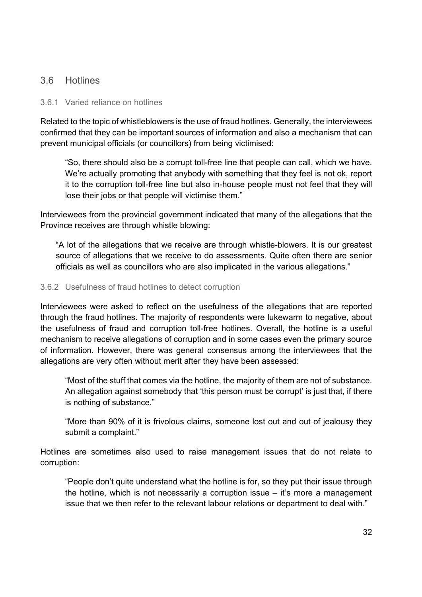## 3.6 Hotlines

#### 3.6.1 Varied reliance on hotlines

Related to the topic of whistleblowers is the use of fraud hotlines. Generally, the interviewees confirmed that they can be important sources of information and also a mechanism that can prevent municipal officials (or councillors) from being victimised:

"So, there should also be a corrupt toll-free line that people can call, which we have. We're actually promoting that anybody with something that they feel is not ok, report it to the corruption toll-free line but also in-house people must not feel that they will lose their jobs or that people will victimise them."

Interviewees from the provincial government indicated that many of the allegations that the Province receives are through whistle blowing:

"A lot of the allegations that we receive are through whistle-blowers. It is our greatest source of allegations that we receive to do assessments. Quite often there are senior officials as well as councillors who are also implicated in the various allegations."

#### 3.6.2 Usefulness of fraud hotlines to detect corruption

Interviewees were asked to reflect on the usefulness of the allegations that are reported through the fraud hotlines. The majority of respondents were lukewarm to negative, about the usefulness of fraud and corruption toll-free hotlines. Overall, the hotline is a useful mechanism to receive allegations of corruption and in some cases even the primary source of information. However, there was general consensus among the interviewees that the allegations are very often without merit after they have been assessed:

"Most of the stuff that comes via the hotline, the majority of them are not of substance. An allegation against somebody that 'this person must be corrupt' is just that, if there is nothing of substance."

"More than 90% of it is frivolous claims, someone lost out and out of jealousy they submit a complaint."

Hotlines are sometimes also used to raise management issues that do not relate to corruption:

"People don't quite understand what the hotline is for, so they put their issue through the hotline, which is not necessarily a corruption issue – it's more a management issue that we then refer to the relevant labour relations or department to deal with."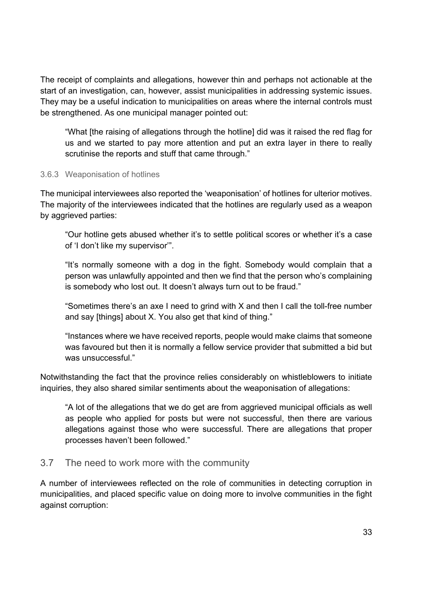The receipt of complaints and allegations, however thin and perhaps not actionable at the start of an investigation, can, however, assist municipalities in addressing systemic issues. They may be a useful indication to municipalities on areas where the internal controls must be strengthened. As one municipal manager pointed out:

"What [the raising of allegations through the hotline] did was it raised the red flag for us and we started to pay more attention and put an extra layer in there to really scrutinise the reports and stuff that came through."

#### 3.6.3 Weaponisation of hotlines

The municipal interviewees also reported the 'weaponisation' of hotlines for ulterior motives. The majority of the interviewees indicated that the hotlines are regularly used as a weapon by aggrieved parties:

"Our hotline gets abused whether it's to settle political scores or whether it's a case of 'I don't like my supervisor'".

"It's normally someone with a dog in the fight. Somebody would complain that a person was unlawfully appointed and then we find that the person who's complaining is somebody who lost out. It doesn't always turn out to be fraud."

"Sometimes there's an axe I need to grind with X and then I call the toll-free number and say [things] about X. You also get that kind of thing."

"Instances where we have received reports, people would make claims that someone was favoured but then it is normally a fellow service provider that submitted a bid but was unsuccessful."

Notwithstanding the fact that the province relies considerably on whistleblowers to initiate inquiries, they also shared similar sentiments about the weaponisation of allegations:

"A lot of the allegations that we do get are from aggrieved municipal officials as well as people who applied for posts but were not successful, then there are various allegations against those who were successful. There are allegations that proper processes haven't been followed."

## 3.7 The need to work more with the community

A number of interviewees reflected on the role of communities in detecting corruption in municipalities, and placed specific value on doing more to involve communities in the fight against corruption: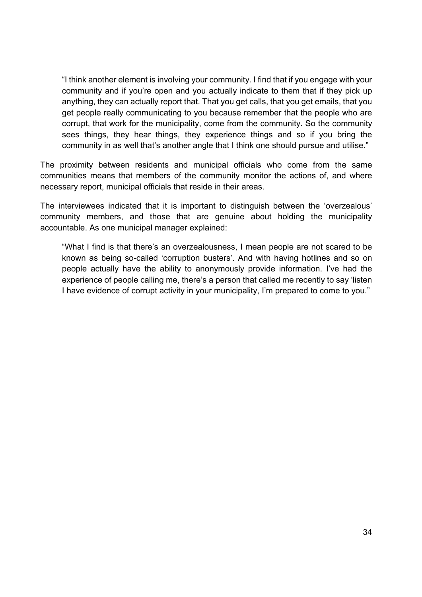"I think another element is involving your community. I find that if you engage with your community and if you're open and you actually indicate to them that if they pick up anything, they can actually report that. That you get calls, that you get emails, that you get people really communicating to you because remember that the people who are corrupt, that work for the municipality, come from the community. So the community sees things, they hear things, they experience things and so if you bring the community in as well that's another angle that I think one should pursue and utilise."

The proximity between residents and municipal officials who come from the same communities means that members of the community monitor the actions of, and where necessary report, municipal officials that reside in their areas.

The interviewees indicated that it is important to distinguish between the 'overzealous' community members, and those that are genuine about holding the municipality accountable. As one municipal manager explained:

"What I find is that there's an overzealousness, I mean people are not scared to be known as being so-called 'corruption busters'. And with having hotlines and so on people actually have the ability to anonymously provide information. I've had the experience of people calling me, there's a person that called me recently to say 'listen I have evidence of corrupt activity in your municipality, I'm prepared to come to you."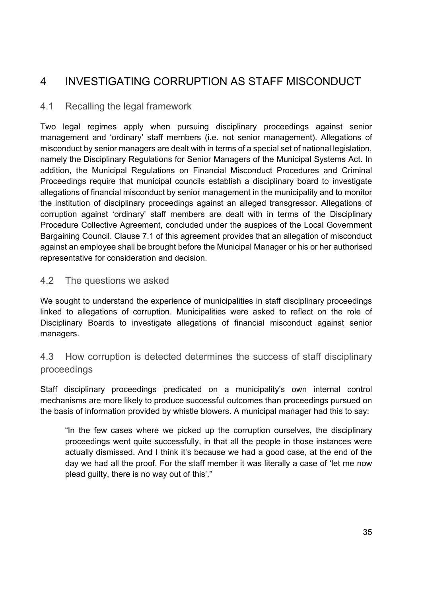# 4 INVESTIGATING CORRUPTION AS STAFF MISCONDUCT

# 4.1 Recalling the legal framework

Two legal regimes apply when pursuing disciplinary proceedings against senior management and 'ordinary' staff members (i.e. not senior management). Allegations of misconduct by senior managers are dealt with in terms of a special set of national legislation, namely the Disciplinary Regulations for Senior Managers of the Municipal Systems Act. In addition, the Municipal Regulations on Financial Misconduct Procedures and Criminal Proceedings require that municipal councils establish a disciplinary board to investigate allegations of financial misconduct by senior management in the municipality and to monitor the institution of disciplinary proceedings against an alleged transgressor. Allegations of corruption against 'ordinary' staff members are dealt with in terms of the Disciplinary Procedure Collective Agreement, concluded under the auspices of the Local Government Bargaining Council. Clause 7.1 of this agreement provides that an allegation of misconduct against an employee shall be brought before the Municipal Manager or his or her authorised representative for consideration and decision.

# 4.2 The questions we asked

We sought to understand the experience of municipalities in staff disciplinary proceedings linked to allegations of corruption. Municipalities were asked to reflect on the role of Disciplinary Boards to investigate allegations of financial misconduct against senior managers.

# 4.3 How corruption is detected determines the success of staff disciplinary proceedings

Staff disciplinary proceedings predicated on a municipality's own internal control mechanisms are more likely to produce successful outcomes than proceedings pursued on the basis of information provided by whistle blowers. A municipal manager had this to say:

"In the few cases where we picked up the corruption ourselves, the disciplinary proceedings went quite successfully, in that all the people in those instances were actually dismissed. And I think it's because we had a good case, at the end of the day we had all the proof. For the staff member it was literally a case of 'let me now plead guilty, there is no way out of this'."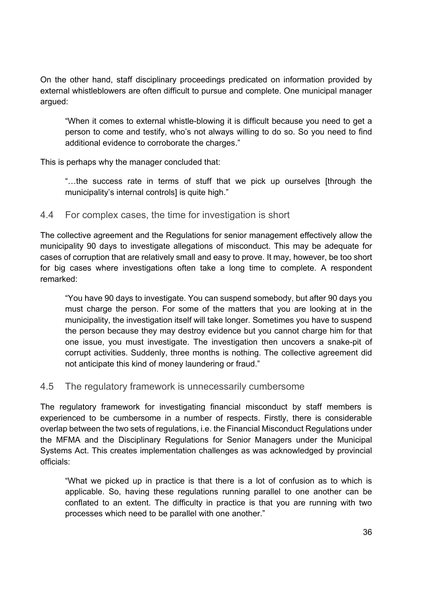On the other hand, staff disciplinary proceedings predicated on information provided by external whistleblowers are often difficult to pursue and complete. One municipal manager argued:

"When it comes to external whistle-blowing it is difficult because you need to get a person to come and testify, who's not always willing to do so. So you need to find additional evidence to corroborate the charges."

This is perhaps why the manager concluded that:

"…the success rate in terms of stuff that we pick up ourselves [through the municipality's internal controls] is quite high."

## 4.4 For complex cases, the time for investigation is short

The collective agreement and the Regulations for senior management effectively allow the municipality 90 days to investigate allegations of misconduct. This may be adequate for cases of corruption that are relatively small and easy to prove. It may, however, be too short for big cases where investigations often take a long time to complete. A respondent remarked:

"You have 90 days to investigate. You can suspend somebody, but after 90 days you must charge the person. For some of the matters that you are looking at in the municipality, the investigation itself will take longer. Sometimes you have to suspend the person because they may destroy evidence but you cannot charge him for that one issue, you must investigate. The investigation then uncovers a snake-pit of corrupt activities. Suddenly, three months is nothing. The collective agreement did not anticipate this kind of money laundering or fraud."

# 4.5 The regulatory framework is unnecessarily cumbersome

The regulatory framework for investigating financial misconduct by staff members is experienced to be cumbersome in a number of respects. Firstly, there is considerable overlap between the two sets of regulations, i.e. the Financial Misconduct Regulations under the MFMA and the Disciplinary Regulations for Senior Managers under the Municipal Systems Act. This creates implementation challenges as was acknowledged by provincial officials:

"What we picked up in practice is that there is a lot of confusion as to which is applicable. So, having these regulations running parallel to one another can be conflated to an extent. The difficulty in practice is that you are running with two processes which need to be parallel with one another."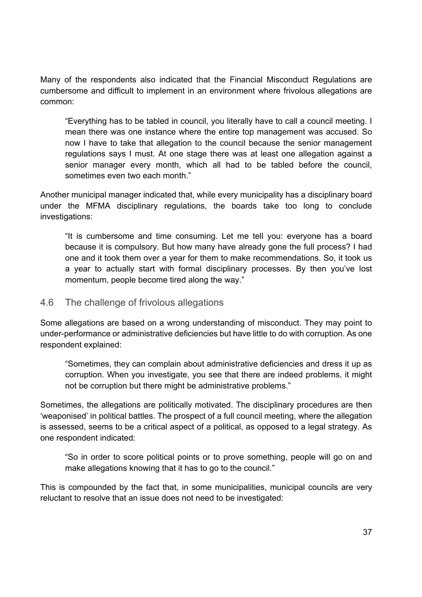Many of the respondents also indicated that the Financial Misconduct Regulations are cumbersome and difficult to implement in an environment where frivolous allegations are common:

"Everything has to be tabled in council, you literally have to call a council meeting. I mean there was one instance where the entire top management was accused. So now I have to take that allegation to the council because the senior management regulations says I must. At one stage there was at least one allegation against a senior manager every month, which all had to be tabled before the council, sometimes even two each month."

Another municipal manager indicated that, while every municipality has a disciplinary board under the MFMA disciplinary regulations, the boards take too long to conclude investigations:

"It is cumbersome and time consuming. Let me tell you: everyone has a board because it is compulsory. But how many have already gone the full process? I had one and it took them over a year for them to make recommendations. So, it took us a year to actually start with formal disciplinary processes. By then you've lost momentum, people become tired along the way."

### 4.6 The challenge of frivolous allegations

Some allegations are based on a wrong understanding of misconduct. They may point to under-performance or administrative deficiencies but have little to do with corruption. As one respondent explained:

"Sometimes, they can complain about administrative deficiencies and dress it up as corruption. When you investigate, you see that there are indeed problems, it might not be corruption but there might be administrative problems."

Sometimes, the allegations are politically motivated. The disciplinary procedures are then 'weaponised' in political battles. The prospect of a full council meeting, where the allegation is assessed, seems to be a critical aspect of a political, as opposed to a legal strategy. As one respondent indicated:

"So in order to score political points or to prove something, people will go on and make allegations knowing that it has to go to the council."

This is compounded by the fact that, in some municipalities, municipal councils are very reluctant to resolve that an issue does not need to be investigated: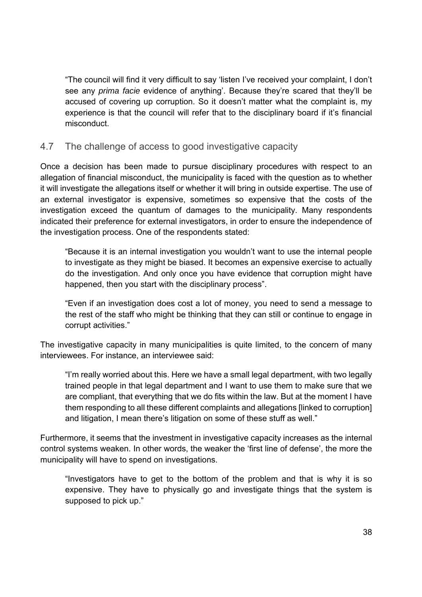"The council will find it very difficult to say 'listen I've received your complaint, I don't see any *prima facie* evidence of anything'. Because they're scared that they'll be accused of covering up corruption. So it doesn't matter what the complaint is, my experience is that the council will refer that to the disciplinary board if it's financial misconduct.

# 4.7 The challenge of access to good investigative capacity

Once a decision has been made to pursue disciplinary procedures with respect to an allegation of financial misconduct, the municipality is faced with the question as to whether it will investigate the allegations itself or whether it will bring in outside expertise. The use of an external investigator is expensive, sometimes so expensive that the costs of the investigation exceed the quantum of damages to the municipality. Many respondents indicated their preference for external investigators, in order to ensure the independence of the investigation process. One of the respondents stated:

"Because it is an internal investigation you wouldn't want to use the internal people to investigate as they might be biased. It becomes an expensive exercise to actually do the investigation. And only once you have evidence that corruption might have happened, then you start with the disciplinary process".

"Even if an investigation does cost a lot of money, you need to send a message to the rest of the staff who might be thinking that they can still or continue to engage in corrupt activities."

The investigative capacity in many municipalities is quite limited, to the concern of many interviewees. For instance, an interviewee said:

"I'm really worried about this. Here we have a small legal department, with two legally trained people in that legal department and I want to use them to make sure that we are compliant, that everything that we do fits within the law. But at the moment I have them responding to all these different complaints and allegations [linked to corruption] and litigation, I mean there's litigation on some of these stuff as well."

Furthermore, it seems that the investment in investigative capacity increases as the internal control systems weaken. In other words, the weaker the 'first line of defense', the more the municipality will have to spend on investigations.

"Investigators have to get to the bottom of the problem and that is why it is so expensive. They have to physically go and investigate things that the system is supposed to pick up."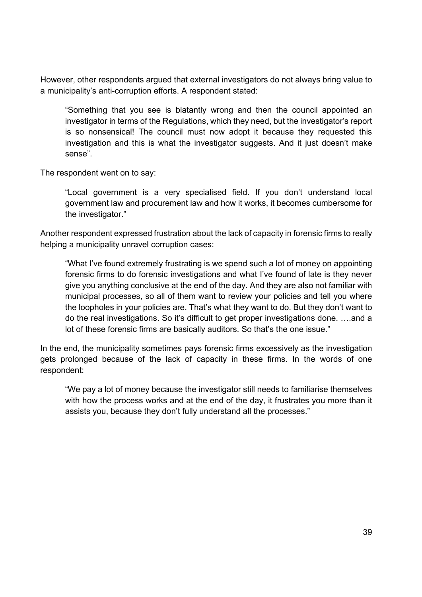However, other respondents argued that external investigators do not always bring value to a municipality's anti-corruption efforts. A respondent stated:

"Something that you see is blatantly wrong and then the council appointed an investigator in terms of the Regulations, which they need, but the investigator's report is so nonsensical! The council must now adopt it because they requested this investigation and this is what the investigator suggests. And it just doesn't make sense".

The respondent went on to say:

"Local government is a very specialised field. If you don't understand local government law and procurement law and how it works, it becomes cumbersome for the investigator."

Another respondent expressed frustration about the lack of capacity in forensic firms to really helping a municipality unravel corruption cases:

"What I've found extremely frustrating is we spend such a lot of money on appointing forensic firms to do forensic investigations and what I've found of late is they never give you anything conclusive at the end of the day. And they are also not familiar with municipal processes, so all of them want to review your policies and tell you where the loopholes in your policies are. That's what they want to do. But they don't want to do the real investigations. So it's difficult to get proper investigations done. ….and a lot of these forensic firms are basically auditors. So that's the one issue."

In the end, the municipality sometimes pays forensic firms excessively as the investigation gets prolonged because of the lack of capacity in these firms. In the words of one respondent:

"We pay a lot of money because the investigator still needs to familiarise themselves with how the process works and at the end of the day, it frustrates you more than it assists you, because they don't fully understand all the processes."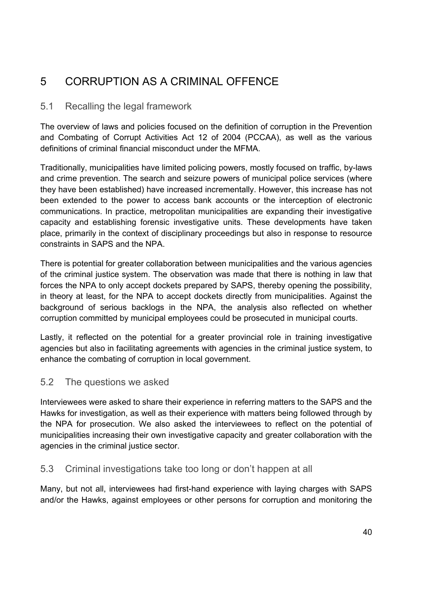# 5 CORRUPTION AS A CRIMINAL OFFENCE

# 5.1 Recalling the legal framework

The overview of laws and policies focused on the definition of corruption in the Prevention and Combating of Corrupt Activities Act 12 of 2004 (PCCAA), as well as the various definitions of criminal financial misconduct under the MFMA.

Traditionally, municipalities have limited policing powers, mostly focused on traffic, by-laws and crime prevention. The search and seizure powers of municipal police services (where they have been established) have increased incrementally. However, this increase has not been extended to the power to access bank accounts or the interception of electronic communications. In practice, metropolitan municipalities are expanding their investigative capacity and establishing forensic investigative units. These developments have taken place, primarily in the context of disciplinary proceedings but also in response to resource constraints in SAPS and the NPA.

There is potential for greater collaboration between municipalities and the various agencies of the criminal justice system. The observation was made that there is nothing in law that forces the NPA to only accept dockets prepared by SAPS, thereby opening the possibility, in theory at least, for the NPA to accept dockets directly from municipalities. Against the background of serious backlogs in the NPA, the analysis also reflected on whether corruption committed by municipal employees could be prosecuted in municipal courts.

Lastly, it reflected on the potential for a greater provincial role in training investigative agencies but also in facilitating agreements with agencies in the criminal justice system, to enhance the combating of corruption in local government.

# 5.2 The questions we asked

Interviewees were asked to share their experience in referring matters to the SAPS and the Hawks for investigation, as well as their experience with matters being followed through by the NPA for prosecution. We also asked the interviewees to reflect on the potential of municipalities increasing their own investigative capacity and greater collaboration with the agencies in the criminal justice sector.

# 5.3 Criminal investigations take too long or don't happen at all

Many, but not all, interviewees had first-hand experience with laying charges with SAPS and/or the Hawks, against employees or other persons for corruption and monitoring the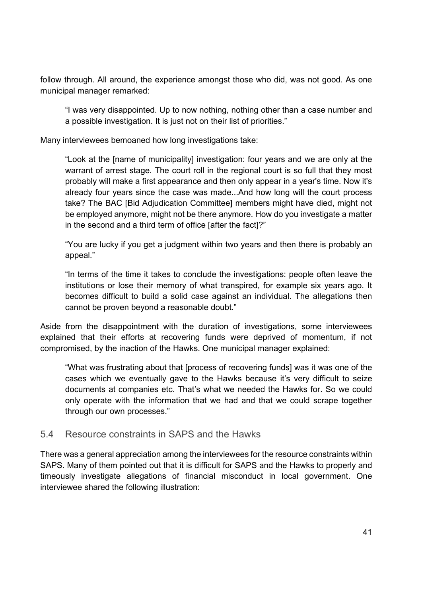follow through. All around, the experience amongst those who did, was not good. As one municipal manager remarked:

"I was very disappointed. Up to now nothing, nothing other than a case number and a possible investigation. It is just not on their list of priorities."

Many interviewees bemoaned how long investigations take:

"Look at the [name of municipality] investigation: four years and we are only at the warrant of arrest stage. The court roll in the regional court is so full that they most probably will make a first appearance and then only appear in a year's time. Now it's already four years since the case was made...And how long will the court process take? The BAC [Bid Adjudication Committee] members might have died, might not be employed anymore, might not be there anymore. How do you investigate a matter in the second and a third term of office [after the fact]?"

"You are lucky if you get a judgment within two years and then there is probably an appeal."

"In terms of the time it takes to conclude the investigations: people often leave the institutions or lose their memory of what transpired, for example six years ago. It becomes difficult to build a solid case against an individual. The allegations then cannot be proven beyond a reasonable doubt."

Aside from the disappointment with the duration of investigations, some interviewees explained that their efforts at recovering funds were deprived of momentum, if not compromised, by the inaction of the Hawks. One municipal manager explained:

"What was frustrating about that [process of recovering funds] was it was one of the cases which we eventually gave to the Hawks because it's very difficult to seize documents at companies etc. That's what we needed the Hawks for. So we could only operate with the information that we had and that we could scrape together through our own processes."

### 5.4 Resource constraints in SAPS and the Hawks

There was a general appreciation among the interviewees for the resource constraints within SAPS. Many of them pointed out that it is difficult for SAPS and the Hawks to properly and timeously investigate allegations of financial misconduct in local government. One interviewee shared the following illustration: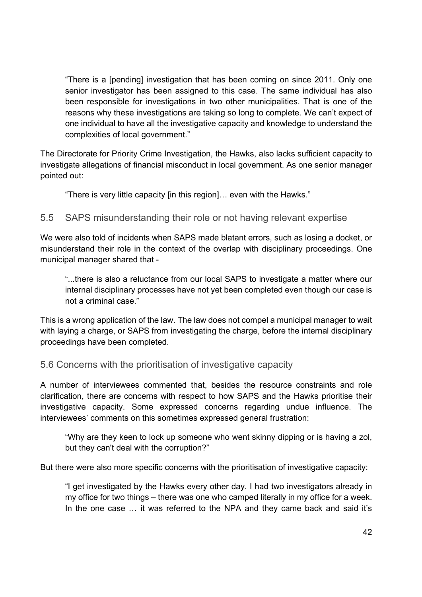"There is a [pending] investigation that has been coming on since 2011. Only one senior investigator has been assigned to this case. The same individual has also been responsible for investigations in two other municipalities. That is one of the reasons why these investigations are taking so long to complete. We can't expect of one individual to have all the investigative capacity and knowledge to understand the complexities of local government."

The Directorate for Priority Crime Investigation, the Hawks, also lacks sufficient capacity to investigate allegations of financial misconduct in local government. As one senior manager pointed out:

"There is very little capacity [in this region]… even with the Hawks."

# 5.5 SAPS misunderstanding their role or not having relevant expertise

We were also told of incidents when SAPS made blatant errors, such as losing a docket, or misunderstand their role in the context of the overlap with disciplinary proceedings. One municipal manager shared that -

"...there is also a reluctance from our local SAPS to investigate a matter where our internal disciplinary processes have not yet been completed even though our case is not a criminal case."

This is a wrong application of the law. The law does not compel a municipal manager to wait with laying a charge, or SAPS from investigating the charge, before the internal disciplinary proceedings have been completed.

### 5.6 Concerns with the prioritisation of investigative capacity

A number of interviewees commented that, besides the resource constraints and role clarification, there are concerns with respect to how SAPS and the Hawks prioritise their investigative capacity. Some expressed concerns regarding undue influence. The interviewees' comments on this sometimes expressed general frustration:

"Why are they keen to lock up someone who went skinny dipping or is having a zol, but they can't deal with the corruption?"

But there were also more specific concerns with the prioritisation of investigative capacity:

"I get investigated by the Hawks every other day. I had two investigators already in my office for two things – there was one who camped literally in my office for a week. In the one case … it was referred to the NPA and they came back and said it's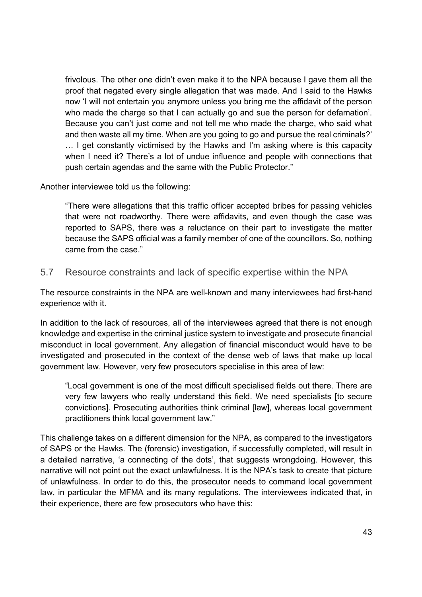frivolous. The other one didn't even make it to the NPA because I gave them all the proof that negated every single allegation that was made. And I said to the Hawks now 'I will not entertain you anymore unless you bring me the affidavit of the person who made the charge so that I can actually go and sue the person for defamation'. Because you can't just come and not tell me who made the charge, who said what and then waste all my time. When are you going to go and pursue the real criminals?' … I get constantly victimised by the Hawks and I'm asking where is this capacity when I need it? There's a lot of undue influence and people with connections that push certain agendas and the same with the Public Protector."

Another interviewee told us the following:

"There were allegations that this traffic officer accepted bribes for passing vehicles that were not roadworthy. There were affidavits, and even though the case was reported to SAPS, there was a reluctance on their part to investigate the matter because the SAPS official was a family member of one of the councillors. So, nothing came from the case."

### 5.7 Resource constraints and lack of specific expertise within the NPA

The resource constraints in the NPA are well-known and many interviewees had first-hand experience with it.

In addition to the lack of resources, all of the interviewees agreed that there is not enough knowledge and expertise in the criminal justice system to investigate and prosecute financial misconduct in local government. Any allegation of financial misconduct would have to be investigated and prosecuted in the context of the dense web of laws that make up local government law. However, very few prosecutors specialise in this area of law:

"Local government is one of the most difficult specialised fields out there. There are very few lawyers who really understand this field. We need specialists [to secure convictions]. Prosecuting authorities think criminal [law], whereas local government practitioners think local government law."

This challenge takes on a different dimension for the NPA, as compared to the investigators of SAPS or the Hawks. The (forensic) investigation, if successfully completed, will result in a detailed narrative, 'a connecting of the dots', that suggests wrongdoing. However, this narrative will not point out the exact unlawfulness. It is the NPA's task to create that picture of unlawfulness. In order to do this, the prosecutor needs to command local government law, in particular the MFMA and its many regulations. The interviewees indicated that, in their experience, there are few prosecutors who have this: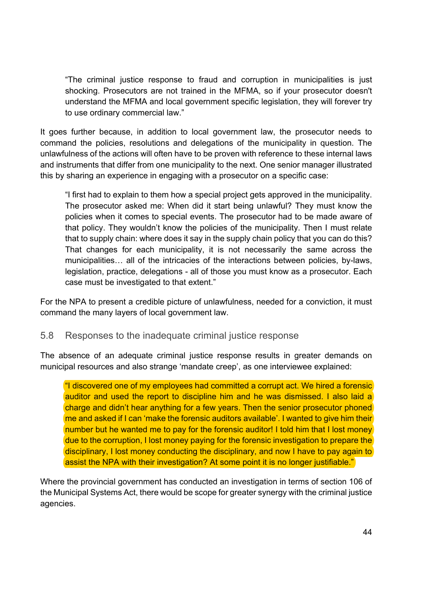"The criminal justice response to fraud and corruption in municipalities is just shocking. Prosecutors are not trained in the MFMA, so if your prosecutor doesn't understand the MFMA and local government specific legislation, they will forever try to use ordinary commercial law."

It goes further because, in addition to local government law, the prosecutor needs to command the policies, resolutions and delegations of the municipality in question. The unlawfulness of the actions will often have to be proven with reference to these internal laws and instruments that differ from one municipality to the next. One senior manager illustrated this by sharing an experience in engaging with a prosecutor on a specific case:

"I first had to explain to them how a special project gets approved in the municipality. The prosecutor asked me: When did it start being unlawful? They must know the policies when it comes to special events. The prosecutor had to be made aware of that policy. They wouldn't know the policies of the municipality. Then I must relate that to supply chain: where does it say in the supply chain policy that you can do this? That changes for each municipality, it is not necessarily the same across the municipalities… all of the intricacies of the interactions between policies, by-laws, legislation, practice, delegations - all of those you must know as a prosecutor. Each case must be investigated to that extent."

For the NPA to present a credible picture of unlawfulness, needed for a conviction, it must command the many layers of local government law.

### 5.8 Responses to the inadequate criminal justice response

The absence of an adequate criminal justice response results in greater demands on municipal resources and also strange 'mandate creep', as one interviewee explained:

"I discovered one of my employees had committed a corrupt act. We hired a forensic auditor and used the report to discipline him and he was dismissed. I also laid a charge and didn't hear anything for a few years. Then the senior prosecutor phoned me and asked if I can 'make the forensic auditors available'. I wanted to give him their number but he wanted me to pay for the forensic auditor! I told him that I lost money due to the corruption, I lost money paying for the forensic investigation to prepare the disciplinary, I lost money conducting the disciplinary, and now I have to pay again to assist the NPA with their investigation? At some point it is no longer justifiable."

Where the provincial government has conducted an investigation in terms of section 106 of the Municipal Systems Act, there would be scope for greater synergy with the criminal justice agencies.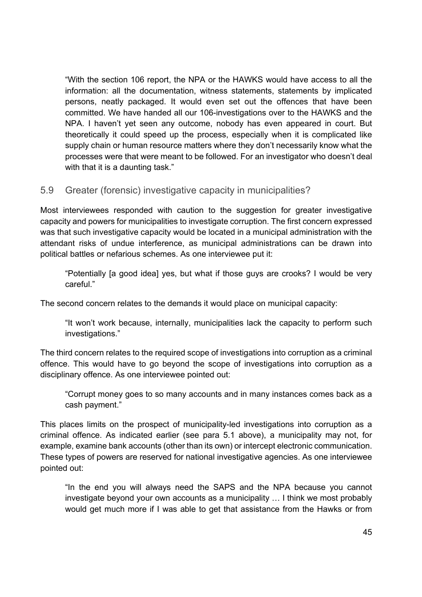"With the section 106 report, the NPA or the HAWKS would have access to all the information: all the documentation, witness statements, statements by implicated persons, neatly packaged. It would even set out the offences that have been committed. We have handed all our 106-investigations over to the HAWKS and the NPA. I haven't yet seen any outcome, nobody has even appeared in court. But theoretically it could speed up the process, especially when it is complicated like supply chain or human resource matters where they don't necessarily know what the processes were that were meant to be followed. For an investigator who doesn't deal with that it is a daunting task."

# 5.9 Greater (forensic) investigative capacity in municipalities?

Most interviewees responded with caution to the suggestion for greater investigative capacity and powers for municipalities to investigate corruption. The first concern expressed was that such investigative capacity would be located in a municipal administration with the attendant risks of undue interference, as municipal administrations can be drawn into political battles or nefarious schemes. As one interviewee put it:

"Potentially [a good idea] yes, but what if those guys are crooks? I would be very careful."

The second concern relates to the demands it would place on municipal capacity:

"It won't work because, internally, municipalities lack the capacity to perform such investigations."

The third concern relates to the required scope of investigations into corruption as a criminal offence. This would have to go beyond the scope of investigations into corruption as a disciplinary offence. As one interviewee pointed out:

"Corrupt money goes to so many accounts and in many instances comes back as a cash payment."

This places limits on the prospect of municipality-led investigations into corruption as a criminal offence. As indicated earlier (see para 5.1 above), a municipality may not, for example, examine bank accounts (other than its own) or intercept electronic communication. These types of powers are reserved for national investigative agencies. As one interviewee pointed out:

"In the end you will always need the SAPS and the NPA because you cannot investigate beyond your own accounts as a municipality … I think we most probably would get much more if I was able to get that assistance from the Hawks or from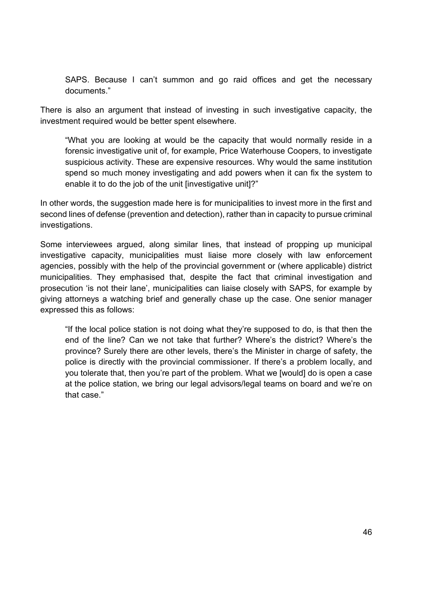SAPS. Because I can't summon and go raid offices and get the necessary documents."

There is also an argument that instead of investing in such investigative capacity, the investment required would be better spent elsewhere.

"What you are looking at would be the capacity that would normally reside in a forensic investigative unit of, for example, Price Waterhouse Coopers, to investigate suspicious activity. These are expensive resources. Why would the same institution spend so much money investigating and add powers when it can fix the system to enable it to do the job of the unit linvestigative unit !?"

In other words, the suggestion made here is for municipalities to invest more in the first and second lines of defense (prevention and detection), rather than in capacity to pursue criminal investigations.

Some interviewees argued, along similar lines, that instead of propping up municipal investigative capacity, municipalities must liaise more closely with law enforcement agencies, possibly with the help of the provincial government or (where applicable) district municipalities. They emphasised that, despite the fact that criminal investigation and prosecution 'is not their lane', municipalities can liaise closely with SAPS, for example by giving attorneys a watching brief and generally chase up the case. One senior manager expressed this as follows:

"If the local police station is not doing what they're supposed to do, is that then the end of the line? Can we not take that further? Where's the district? Where's the province? Surely there are other levels, there's the Minister in charge of safety, the police is directly with the provincial commissioner. If there's a problem locally, and you tolerate that, then you're part of the problem. What we [would] do is open a case at the police station, we bring our legal advisors/legal teams on board and we're on that case."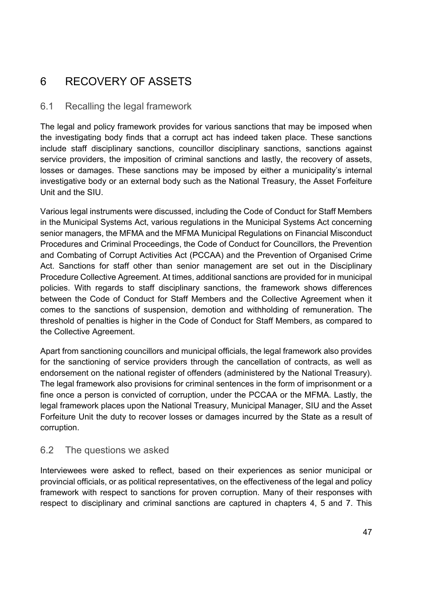# 6 RECOVERY OF ASSETS

# 6.1 Recalling the legal framework

The legal and policy framework provides for various sanctions that may be imposed when the investigating body finds that a corrupt act has indeed taken place. These sanctions include staff disciplinary sanctions, councillor disciplinary sanctions, sanctions against service providers, the imposition of criminal sanctions and lastly, the recovery of assets, losses or damages. These sanctions may be imposed by either a municipality's internal investigative body or an external body such as the National Treasury, the Asset Forfeiture Unit and the SIU.

Various legal instruments were discussed, including the Code of Conduct for Staff Members in the Municipal Systems Act, various regulations in the Municipal Systems Act concerning senior managers, the MFMA and the MFMA Municipal Regulations on Financial Misconduct Procedures and Criminal Proceedings, the Code of Conduct for Councillors, the Prevention and Combating of Corrupt Activities Act (PCCAA) and the Prevention of Organised Crime Act. Sanctions for staff other than senior management are set out in the Disciplinary Procedure Collective Agreement. At times, additional sanctions are provided for in municipal policies. With regards to staff disciplinary sanctions, the framework shows differences between the Code of Conduct for Staff Members and the Collective Agreement when it comes to the sanctions of suspension, demotion and withholding of remuneration. The threshold of penalties is higher in the Code of Conduct for Staff Members, as compared to the Collective Agreement.

Apart from sanctioning councillors and municipal officials, the legal framework also provides for the sanctioning of service providers through the cancellation of contracts, as well as endorsement on the national register of offenders (administered by the National Treasury). The legal framework also provisions for criminal sentences in the form of imprisonment or a fine once a person is convicted of corruption, under the PCCAA or the MFMA. Lastly, the legal framework places upon the National Treasury, Municipal Manager, SIU and the Asset Forfeiture Unit the duty to recover losses or damages incurred by the State as a result of corruption.

### 6.2 The questions we asked

Interviewees were asked to reflect, based on their experiences as senior municipal or provincial officials, or as political representatives, on the effectiveness of the legal and policy framework with respect to sanctions for proven corruption. Many of their responses with respect to disciplinary and criminal sanctions are captured in chapters 4, 5 and 7. This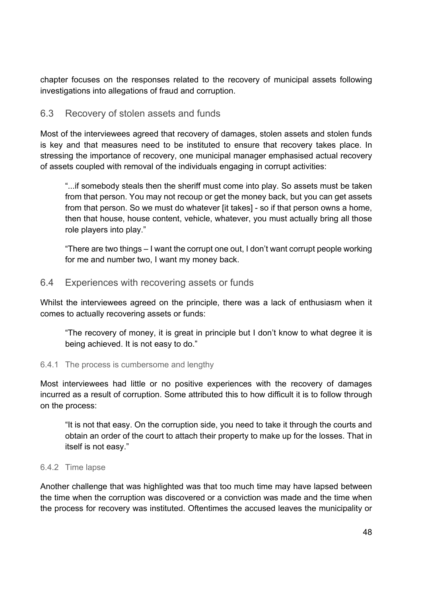chapter focuses on the responses related to the recovery of municipal assets following investigations into allegations of fraud and corruption.

# 6.3 Recovery of stolen assets and funds

Most of the interviewees agreed that recovery of damages, stolen assets and stolen funds is key and that measures need to be instituted to ensure that recovery takes place. In stressing the importance of recovery, one municipal manager emphasised actual recovery of assets coupled with removal of the individuals engaging in corrupt activities:

"...if somebody steals then the sheriff must come into play. So assets must be taken from that person. You may not recoup or get the money back, but you can get assets from that person. So we must do whatever [it takes] - so if that person owns a home, then that house, house content, vehicle, whatever, you must actually bring all those role players into play."

"There are two things – I want the corrupt one out, I don't want corrupt people working for me and number two, I want my money back.

### 6.4 Experiences with recovering assets or funds

Whilst the interviewees agreed on the principle, there was a lack of enthusiasm when it comes to actually recovering assets or funds:

"The recovery of money, it is great in principle but I don't know to what degree it is being achieved. It is not easy to do."

### 6.4.1 The process is cumbersome and lengthy

Most interviewees had little or no positive experiences with the recovery of damages incurred as a result of corruption. Some attributed this to how difficult it is to follow through on the process:

"It is not that easy. On the corruption side, you need to take it through the courts and obtain an order of the court to attach their property to make up for the losses. That in itself is not easy."

### 6.4.2 Time lapse

Another challenge that was highlighted was that too much time may have lapsed between the time when the corruption was discovered or a conviction was made and the time when the process for recovery was instituted. Oftentimes the accused leaves the municipality or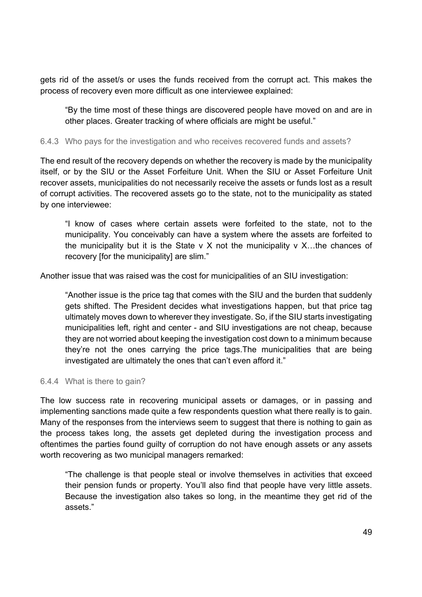gets rid of the asset/s or uses the funds received from the corrupt act. This makes the process of recovery even more difficult as one interviewee explained:

"By the time most of these things are discovered people have moved on and are in other places. Greater tracking of where officials are might be useful."

#### 6.4.3 Who pays for the investigation and who receives recovered funds and assets?

The end result of the recovery depends on whether the recovery is made by the municipality itself, or by the SIU or the Asset Forfeiture Unit. When the SIU or Asset Forfeiture Unit recover assets, municipalities do not necessarily receive the assets or funds lost as a result of corrupt activities. The recovered assets go to the state, not to the municipality as stated by one interviewee:

"I know of cases where certain assets were forfeited to the state, not to the municipality. You conceivably can have a system where the assets are forfeited to the municipality but it is the State v X not the municipality v X…the chances of recovery [for the municipality] are slim."

Another issue that was raised was the cost for municipalities of an SIU investigation:

"Another issue is the price tag that comes with the SIU and the burden that suddenly gets shifted. The President decides what investigations happen, but that price tag ultimately moves down to wherever they investigate. So, if the SIU starts investigating municipalities left, right and center - and SIU investigations are not cheap, because they are not worried about keeping the investigation cost down to a minimum because they're not the ones carrying the price tags.The municipalities that are being investigated are ultimately the ones that can't even afford it."

#### 6.4.4 What is there to gain?

The low success rate in recovering municipal assets or damages, or in passing and implementing sanctions made quite a few respondents question what there really is to gain. Many of the responses from the interviews seem to suggest that there is nothing to gain as the process takes long, the assets get depleted during the investigation process and oftentimes the parties found guilty of corruption do not have enough assets or any assets worth recovering as two municipal managers remarked:

"The challenge is that people steal or involve themselves in activities that exceed their pension funds or property. You'll also find that people have very little assets. Because the investigation also takes so long, in the meantime they get rid of the assets."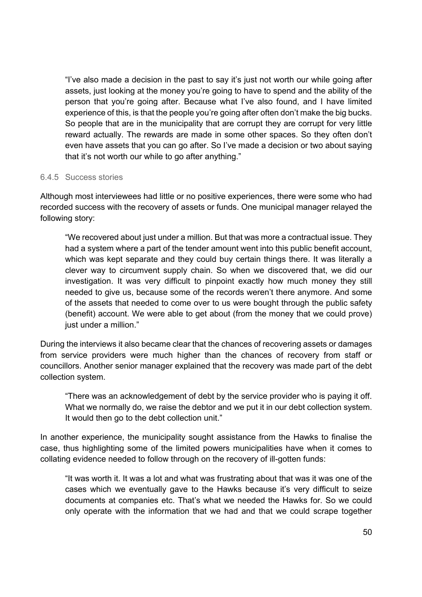"I've also made a decision in the past to say it's just not worth our while going after assets, just looking at the money you're going to have to spend and the ability of the person that you're going after. Because what I've also found, and I have limited experience of this, is that the people you're going after often don't make the big bucks. So people that are in the municipality that are corrupt they are corrupt for very little reward actually. The rewards are made in some other spaces. So they often don't even have assets that you can go after. So I've made a decision or two about saying that it's not worth our while to go after anything."

#### 6.4.5 Success stories

Although most interviewees had little or no positive experiences, there were some who had recorded success with the recovery of assets or funds. One municipal manager relayed the following story:

"We recovered about just under a million. But that was more a contractual issue. They had a system where a part of the tender amount went into this public benefit account, which was kept separate and they could buy certain things there. It was literally a clever way to circumvent supply chain. So when we discovered that, we did our investigation. It was very difficult to pinpoint exactly how much money they still needed to give us, because some of the records weren't there anymore. And some of the assets that needed to come over to us were bought through the public safety (benefit) account. We were able to get about (from the money that we could prove) just under a million."

During the interviews it also became clear that the chances of recovering assets or damages from service providers were much higher than the chances of recovery from staff or councillors. Another senior manager explained that the recovery was made part of the debt collection system.

"There was an acknowledgement of debt by the service provider who is paying it off. What we normally do, we raise the debtor and we put it in our debt collection system. It would then go to the debt collection unit."

In another experience, the municipality sought assistance from the Hawks to finalise the case, thus highlighting some of the limited powers municipalities have when it comes to collating evidence needed to follow through on the recovery of ill-gotten funds:

"It was worth it. It was a lot and what was frustrating about that was it was one of the cases which we eventually gave to the Hawks because it's very difficult to seize documents at companies etc. That's what we needed the Hawks for. So we could only operate with the information that we had and that we could scrape together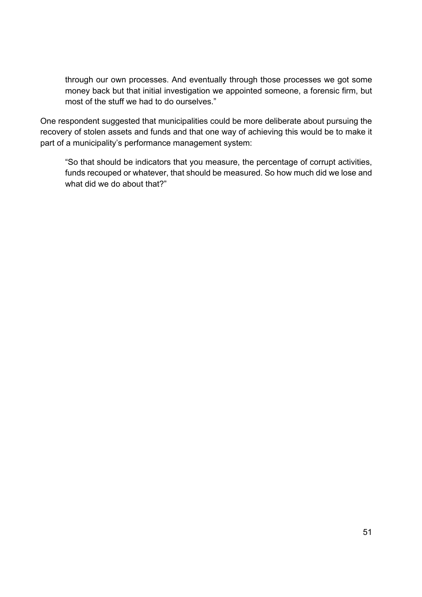through our own processes. And eventually through those processes we got some money back but that initial investigation we appointed someone, a forensic firm, but most of the stuff we had to do ourselves."

One respondent suggested that municipalities could be more deliberate about pursuing the recovery of stolen assets and funds and that one way of achieving this would be to make it part of a municipality's performance management system:

"So that should be indicators that you measure, the percentage of corrupt activities, funds recouped or whatever, that should be measured. So how much did we lose and what did we do about that?"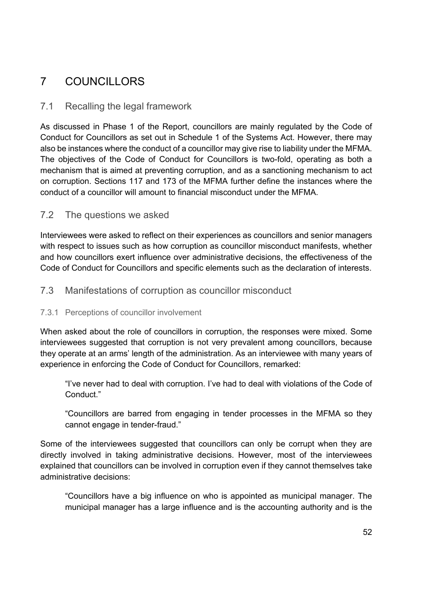# 7 COUNCILLORS

# 7.1 Recalling the legal framework

As discussed in Phase 1 of the Report, councillors are mainly regulated by the Code of Conduct for Councillors as set out in Schedule 1 of the Systems Act. However, there may also be instances where the conduct of a councillor may give rise to liability under the MFMA. The objectives of the Code of Conduct for Councillors is two-fold, operating as both a mechanism that is aimed at preventing corruption, and as a sanctioning mechanism to act on corruption. Sections 117 and 173 of the MFMA further define the instances where the conduct of a councillor will amount to financial misconduct under the MFMA.

# 7.2 The questions we asked

Interviewees were asked to reflect on their experiences as councillors and senior managers with respect to issues such as how corruption as councillor misconduct manifests, whether and how councillors exert influence over administrative decisions, the effectiveness of the Code of Conduct for Councillors and specific elements such as the declaration of interests.

# 7.3 Manifestations of corruption as councillor misconduct

### 7.3.1 Perceptions of councillor involvement

When asked about the role of councillors in corruption, the responses were mixed. Some interviewees suggested that corruption is not very prevalent among councillors, because they operate at an arms' length of the administration. As an interviewee with many years of experience in enforcing the Code of Conduct for Councillors, remarked:

"I've never had to deal with corruption. I've had to deal with violations of the Code of Conduct."

"Councillors are barred from engaging in tender processes in the MFMA so they cannot engage in tender-fraud."

Some of the interviewees suggested that councillors can only be corrupt when they are directly involved in taking administrative decisions. However, most of the interviewees explained that councillors can be involved in corruption even if they cannot themselves take administrative decisions:

"Councillors have a big influence on who is appointed as municipal manager. The municipal manager has a large influence and is the accounting authority and is the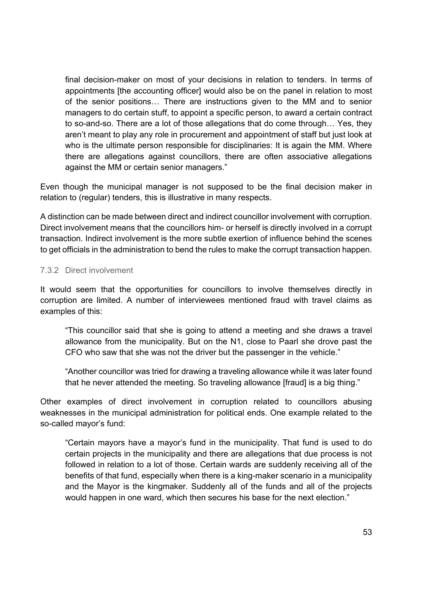final decision-maker on most of your decisions in relation to tenders. In terms of appointments [the accounting officer] would also be on the panel in relation to most of the senior positions… There are instructions given to the MM and to senior managers to do certain stuff, to appoint a specific person, to award a certain contract to so-and-so. There are a lot of those allegations that do come through… Yes, they aren't meant to play any role in procurement and appointment of staff but just look at who is the ultimate person responsible for disciplinaries: It is again the MM. Where there are allegations against councillors, there are often associative allegations against the MM or certain senior managers."

Even though the municipal manager is not supposed to be the final decision maker in relation to (regular) tenders, this is illustrative in many respects.

A distinction can be made between direct and indirect councillor involvement with corruption. Direct involvement means that the councillors him- or herself is directly involved in a corrupt transaction. Indirect involvement is the more subtle exertion of influence behind the scenes to get officials in the administration to bend the rules to make the corrupt transaction happen.

#### 7.3.2 Direct involvement

It would seem that the opportunities for councillors to involve themselves directly in corruption are limited. A number of interviewees mentioned fraud with travel claims as examples of this:

"This councillor said that she is going to attend a meeting and she draws a travel allowance from the municipality. But on the N1, close to Paarl she drove past the CFO who saw that she was not the driver but the passenger in the vehicle."

"Another councillor was tried for drawing a traveling allowance while it was later found that he never attended the meeting. So traveling allowance [fraud] is a big thing."

Other examples of direct involvement in corruption related to councillors abusing weaknesses in the municipal administration for political ends. One example related to the so-called mayor's fund:

"Certain mayors have a mayor's fund in the municipality. That fund is used to do certain projects in the municipality and there are allegations that due process is not followed in relation to a lot of those. Certain wards are suddenly receiving all of the benefits of that fund, especially when there is a king-maker scenario in a municipality and the Mayor is the kingmaker. Suddenly all of the funds and all of the projects would happen in one ward, which then secures his base for the next election."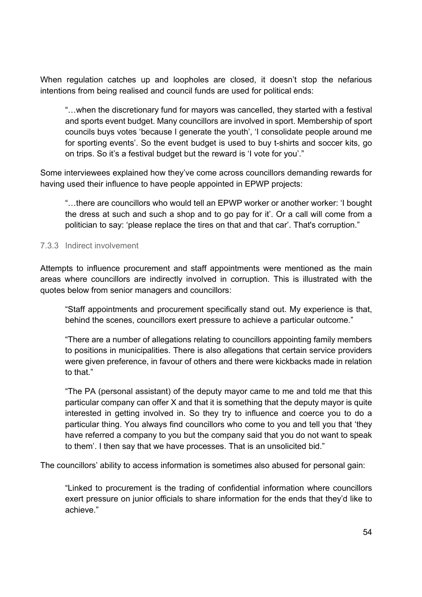When regulation catches up and loopholes are closed, it doesn't stop the nefarious intentions from being realised and council funds are used for political ends:

"…when the discretionary fund for mayors was cancelled, they started with a festival and sports event budget. Many councillors are involved in sport. Membership of sport councils buys votes 'because I generate the youth', 'I consolidate people around me for sporting events'. So the event budget is used to buy t-shirts and soccer kits, go on trips. So it's a festival budget but the reward is 'I vote for you'."

Some interviewees explained how they've come across councillors demanding rewards for having used their influence to have people appointed in EPWP projects:

"…there are councillors who would tell an EPWP worker or another worker: 'I bought the dress at such and such a shop and to go pay for it'. Or a call will come from a politician to say: 'please replace the tires on that and that car'. That's corruption."

### 7.3.3 Indirect involvement

Attempts to influence procurement and staff appointments were mentioned as the main areas where councillors are indirectly involved in corruption. This is illustrated with the quotes below from senior managers and councillors:

"Staff appointments and procurement specifically stand out. My experience is that, behind the scenes, councillors exert pressure to achieve a particular outcome."

"There are a number of allegations relating to councillors appointing family members to positions in municipalities. There is also allegations that certain service providers were given preference, in favour of others and there were kickbacks made in relation to that."

"The PA (personal assistant) of the deputy mayor came to me and told me that this particular company can offer X and that it is something that the deputy mayor is quite interested in getting involved in. So they try to influence and coerce you to do a particular thing. You always find councillors who come to you and tell you that 'they have referred a company to you but the company said that you do not want to speak to them'. I then say that we have processes. That is an unsolicited bid."

The councillors' ability to access information is sometimes also abused for personal gain:

"Linked to procurement is the trading of confidential information where councillors exert pressure on junior officials to share information for the ends that they'd like to achieve."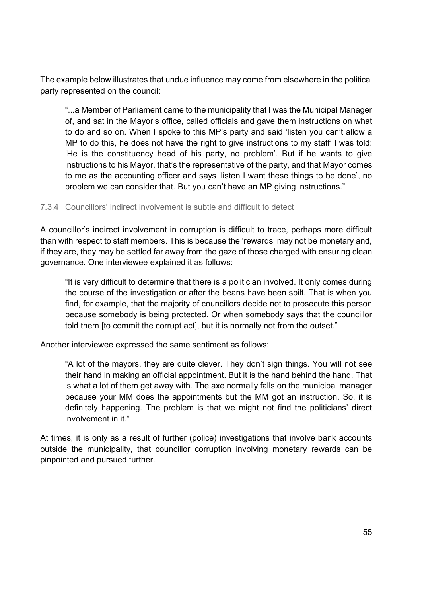The example below illustrates that undue influence may come from elsewhere in the political party represented on the council:

"...a Member of Parliament came to the municipality that I was the Municipal Manager of, and sat in the Mayor's office, called officials and gave them instructions on what to do and so on. When I spoke to this MP's party and said 'listen you can't allow a MP to do this, he does not have the right to give instructions to my staff' I was told: 'He is the constituency head of his party, no problem'. But if he wants to give instructions to his Mayor, that's the representative of the party, and that Mayor comes to me as the accounting officer and says 'listen I want these things to be done', no problem we can consider that. But you can't have an MP giving instructions."

7.3.4 Councillors' indirect involvement is subtle and difficult to detect

A councillor's indirect involvement in corruption is difficult to trace, perhaps more difficult than with respect to staff members. This is because the 'rewards' may not be monetary and, if they are, they may be settled far away from the gaze of those charged with ensuring clean governance. One interviewee explained it as follows:

"It is very difficult to determine that there is a politician involved. It only comes during the course of the investigation or after the beans have been spilt. That is when you find, for example, that the majority of councillors decide not to prosecute this person because somebody is being protected. Or when somebody says that the councillor told them [to commit the corrupt act], but it is normally not from the outset."

Another interviewee expressed the same sentiment as follows:

"A lot of the mayors, they are quite clever. They don't sign things. You will not see their hand in making an official appointment. But it is the hand behind the hand. That is what a lot of them get away with. The axe normally falls on the municipal manager because your MM does the appointments but the MM got an instruction. So, it is definitely happening. The problem is that we might not find the politicians' direct involvement in it."

At times, it is only as a result of further (police) investigations that involve bank accounts outside the municipality, that councillor corruption involving monetary rewards can be pinpointed and pursued further.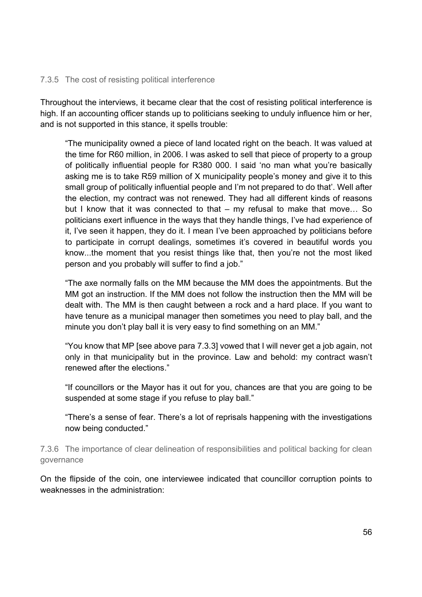### 7.3.5 The cost of resisting political interference

Throughout the interviews, it became clear that the cost of resisting political interference is high. If an accounting officer stands up to politicians seeking to unduly influence him or her, and is not supported in this stance, it spells trouble:

"The municipality owned a piece of land located right on the beach. It was valued at the time for R60 million, in 2006. I was asked to sell that piece of property to a group of politically influential people for R380 000. I said 'no man what you're basically asking me is to take R59 million of X municipality people's money and give it to this small group of politically influential people and I'm not prepared to do that'. Well after the election, my contract was not renewed. They had all different kinds of reasons but I know that it was connected to that – my refusal to make that move… So politicians exert influence in the ways that they handle things, I've had experience of it, I've seen it happen, they do it. I mean I've been approached by politicians before to participate in corrupt dealings, sometimes it's covered in beautiful words you know...the moment that you resist things like that, then you're not the most liked person and you probably will suffer to find a job."

"The axe normally falls on the MM because the MM does the appointments. But the MM got an instruction. If the MM does not follow the instruction then the MM will be dealt with. The MM is then caught between a rock and a hard place. If you want to have tenure as a municipal manager then sometimes you need to play ball, and the minute you don't play ball it is very easy to find something on an MM."

"You know that MP [see above para 7.3.3] vowed that I will never get a job again, not only in that municipality but in the province. Law and behold: my contract wasn't renewed after the elections."

"If councillors or the Mayor has it out for you, chances are that you are going to be suspended at some stage if you refuse to play ball."

"There's a sense of fear. There's a lot of reprisals happening with the investigations now being conducted."

7.3.6 The importance of clear delineation of responsibilities and political backing for clean governance

On the flipside of the coin, one interviewee indicated that councillor corruption points to weaknesses in the administration: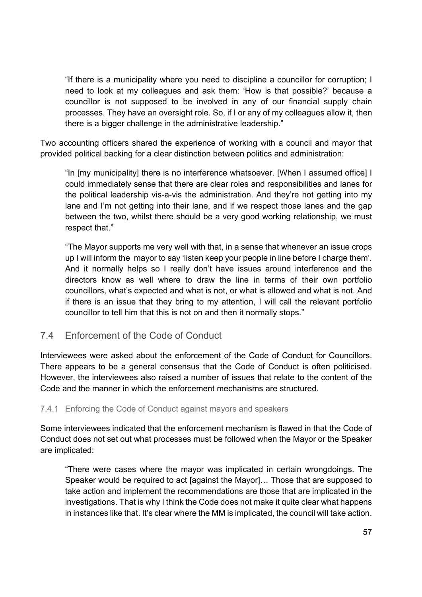"If there is a municipality where you need to discipline a councillor for corruption; I need to look at my colleagues and ask them: 'How is that possible?' because a councillor is not supposed to be involved in any of our financial supply chain processes. They have an oversight role. So, if I or any of my colleagues allow it, then there is a bigger challenge in the administrative leadership."

Two accounting officers shared the experience of working with a council and mayor that provided political backing for a clear distinction between politics and administration:

"In [my municipality] there is no interference whatsoever. [When I assumed office] I could immediately sense that there are clear roles and responsibilities and lanes for the political leadership vis-a-vis the administration. And they're not getting into my lane and I'm not getting into their lane, and if we respect those lanes and the gap between the two, whilst there should be a very good working relationship, we must respect that."

"The Mayor supports me very well with that, in a sense that whenever an issue crops up I will inform the mayor to say 'listen keep your people in line before I charge them'. And it normally helps so I really don't have issues around interference and the directors know as well where to draw the line in terms of their own portfolio councillors, what's expected and what is not, or what is allowed and what is not. And if there is an issue that they bring to my attention, I will call the relevant portfolio councillor to tell him that this is not on and then it normally stops."

# 7.4 Enforcement of the Code of Conduct

Interviewees were asked about the enforcement of the Code of Conduct for Councillors. There appears to be a general consensus that the Code of Conduct is often politicised. However, the interviewees also raised a number of issues that relate to the content of the Code and the manner in which the enforcement mechanisms are structured.

### 7.4.1 Enforcing the Code of Conduct against mayors and speakers

Some interviewees indicated that the enforcement mechanism is flawed in that the Code of Conduct does not set out what processes must be followed when the Mayor or the Speaker are implicated:

"There were cases where the mayor was implicated in certain wrongdoings. The Speaker would be required to act [against the Mayor]… Those that are supposed to take action and implement the recommendations are those that are implicated in the investigations. That is why I think the Code does not make it quite clear what happens in instances like that. It's clear where the MM is implicated, the council will take action.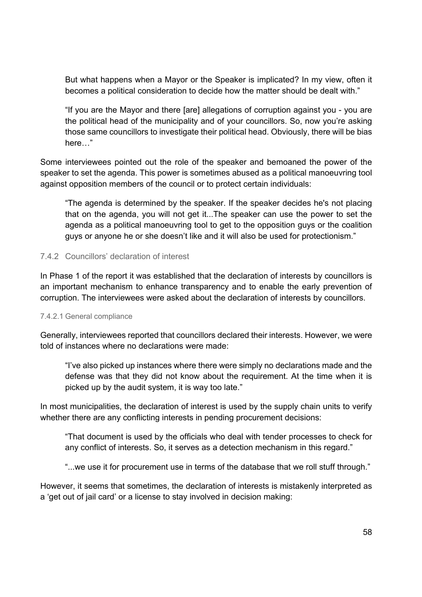But what happens when a Mayor or the Speaker is implicated? In my view, often it becomes a political consideration to decide how the matter should be dealt with."

"If you are the Mayor and there [are] allegations of corruption against you - you are the political head of the municipality and of your councillors. So, now you're asking those same councillors to investigate their political head. Obviously, there will be bias here…"

Some interviewees pointed out the role of the speaker and bemoaned the power of the speaker to set the agenda. This power is sometimes abused as a political manoeuvring tool against opposition members of the council or to protect certain individuals:

"The agenda is determined by the speaker. If the speaker decides he's not placing that on the agenda, you will not get it...The speaker can use the power to set the agenda as a political manoeuvring tool to get to the opposition guys or the coalition guys or anyone he or she doesn't like and it will also be used for protectionism."

### 7.4.2 Councillors' declaration of interest

In Phase 1 of the report it was established that the declaration of interests by councillors is an important mechanism to enhance transparency and to enable the early prevention of corruption. The interviewees were asked about the declaration of interests by councillors.

#### 7.4.2.1 General compliance

Generally, interviewees reported that councillors declared their interests. However, we were told of instances where no declarations were made:

"I've also picked up instances where there were simply no declarations made and the defense was that they did not know about the requirement. At the time when it is picked up by the audit system, it is way too late."

In most municipalities, the declaration of interest is used by the supply chain units to verify whether there are any conflicting interests in pending procurement decisions:

"That document is used by the officials who deal with tender processes to check for any conflict of interests. So, it serves as a detection mechanism in this regard."

"...we use it for procurement use in terms of the database that we roll stuff through."

However, it seems that sometimes, the declaration of interests is mistakenly interpreted as a 'get out of jail card' or a license to stay involved in decision making: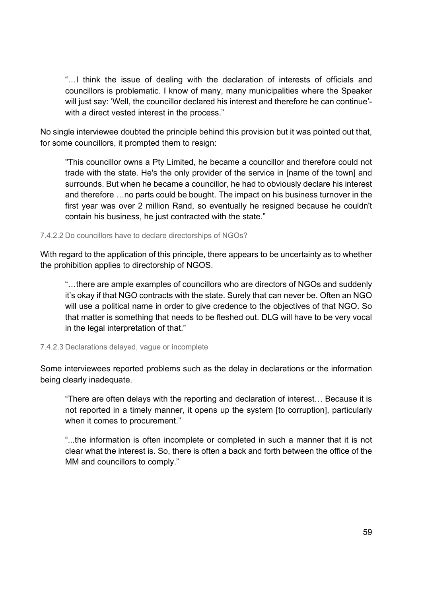"…I think the issue of dealing with the declaration of interests of officials and councillors is problematic. I know of many, many municipalities where the Speaker will just say: 'Well, the councillor declared his interest and therefore he can continue' with a direct vested interest in the process."

No single interviewee doubted the principle behind this provision but it was pointed out that, for some councillors, it prompted them to resign:

"This councillor owns a Pty Limited, he became a councillor and therefore could not trade with the state. He's the only provider of the service in [name of the town] and surrounds. But when he became a councillor, he had to obviously declare his interest and therefore …no parts could be bought. The impact on his business turnover in the first year was over 2 million Rand, so eventually he resigned because he couldn't contain his business, he just contracted with the state."

#### 7.4.2.2 Do councillors have to declare directorships of NGOs?

With regard to the application of this principle, there appears to be uncertainty as to whether the prohibition applies to directorship of NGOS.

"…there are ample examples of councillors who are directors of NGOs and suddenly it's okay if that NGO contracts with the state. Surely that can never be. Often an NGO will use a political name in order to give credence to the objectives of that NGO. So that matter is something that needs to be fleshed out. DLG will have to be very vocal in the legal interpretation of that."

#### 7.4.2.3 Declarations delayed, vague or incomplete

Some interviewees reported problems such as the delay in declarations or the information being clearly inadequate.

"There are often delays with the reporting and declaration of interest… Because it is not reported in a timely manner, it opens up the system [to corruption], particularly when it comes to procurement."

"...the information is often incomplete or completed in such a manner that it is not clear what the interest is. So, there is often a back and forth between the office of the MM and councillors to comply."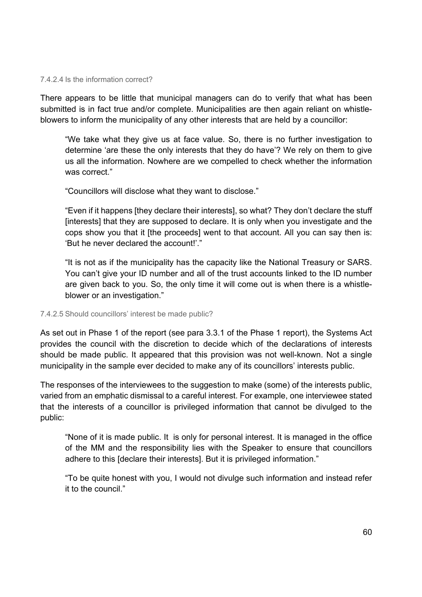#### 7.4.2.4 Is the information correct?

There appears to be little that municipal managers can do to verify that what has been submitted is in fact true and/or complete. Municipalities are then again reliant on whistleblowers to inform the municipality of any other interests that are held by a councillor:

"We take what they give us at face value. So, there is no further investigation to determine 'are these the only interests that they do have'? We rely on them to give us all the information. Nowhere are we compelled to check whether the information was correct."

"Councillors will disclose what they want to disclose."

"Even if it happens [they declare their interests], so what? They don't declare the stuff [interests] that they are supposed to declare. It is only when you investigate and the cops show you that it [the proceeds] went to that account. All you can say then is: 'But he never declared the account!'."

"It is not as if the municipality has the capacity like the National Treasury or SARS. You can't give your ID number and all of the trust accounts linked to the ID number are given back to you. So, the only time it will come out is when there is a whistleblower or an investigation."

#### 7.4.2.5 Should councillors' interest be made public?

As set out in Phase 1 of the report (see para 3.3.1 of the Phase 1 report), the Systems Act provides the council with the discretion to decide which of the declarations of interests should be made public. It appeared that this provision was not well-known. Not a single municipality in the sample ever decided to make any of its councillors' interests public.

The responses of the interviewees to the suggestion to make (some) of the interests public, varied from an emphatic dismissal to a careful interest. For example, one interviewee stated that the interests of a councillor is privileged information that cannot be divulged to the public:

"None of it is made public. It is only for personal interest. It is managed in the office of the MM and the responsibility lies with the Speaker to ensure that councillors adhere to this [declare their interests]. But it is privileged information."

"To be quite honest with you, I would not divulge such information and instead refer it to the council."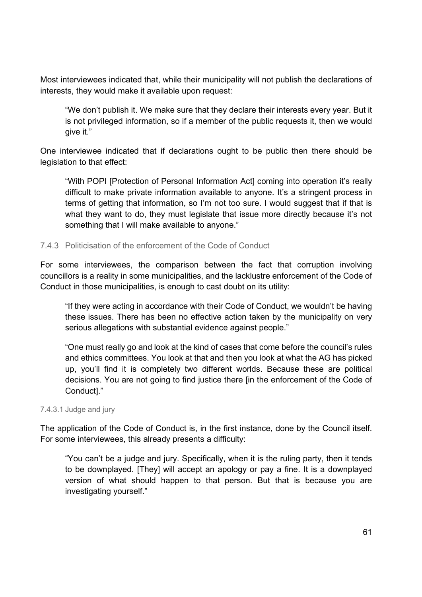Most interviewees indicated that, while their municipality will not publish the declarations of interests, they would make it available upon request:

"We don't publish it. We make sure that they declare their interests every year. But it is not privileged information, so if a member of the public requests it, then we would give it."

One interviewee indicated that if declarations ought to be public then there should be legislation to that effect:

"With POPI [Protection of Personal Information Act] coming into operation it's really difficult to make private information available to anyone. It's a stringent process in terms of getting that information, so I'm not too sure. I would suggest that if that is what they want to do, they must legislate that issue more directly because it's not something that I will make available to anyone."

### 7.4.3 Politicisation of the enforcement of the Code of Conduct

For some interviewees, the comparison between the fact that corruption involving councillors is a reality in some municipalities, and the lacklustre enforcement of the Code of Conduct in those municipalities, is enough to cast doubt on its utility:

"If they were acting in accordance with their Code of Conduct, we wouldn't be having these issues. There has been no effective action taken by the municipality on very serious allegations with substantial evidence against people."

"One must really go and look at the kind of cases that come before the council's rules and ethics committees. You look at that and then you look at what the AG has picked up, you'll find it is completely two different worlds. Because these are political decisions. You are not going to find justice there [in the enforcement of the Code of Conduct]."

#### 7.4.3.1 Judge and jury

The application of the Code of Conduct is, in the first instance, done by the Council itself. For some interviewees, this already presents a difficulty:

"You can't be a judge and jury. Specifically, when it is the ruling party, then it tends to be downplayed. [They] will accept an apology or pay a fine. It is a downplayed version of what should happen to that person. But that is because you are investigating yourself."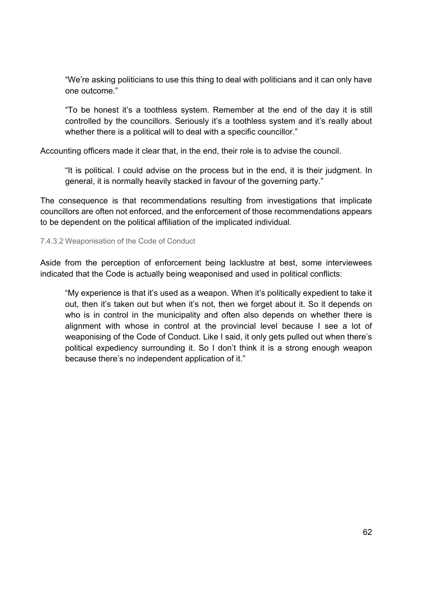"We're asking politicians to use this thing to deal with politicians and it can only have one outcome."

"To be honest it's a toothless system. Remember at the end of the day it is still controlled by the councillors. Seriously it's a toothless system and it's really about whether there is a political will to deal with a specific councillor."

Accounting officers made it clear that, in the end, their role is to advise the council.

"It is political. I could advise on the process but in the end, it is their judgment. In general, it is normally heavily stacked in favour of the governing party."

The consequence is that recommendations resulting from investigations that implicate councillors are often not enforced, and the enforcement of those recommendations appears to be dependent on the political affiliation of the implicated individual.

#### 7.4.3.2 Weaponisation of the Code of Conduct

Aside from the perception of enforcement being lacklustre at best, some interviewees indicated that the Code is actually being weaponised and used in political conflicts:

"My experience is that it's used as a weapon. When it's politically expedient to take it out, then it's taken out but when it's not, then we forget about it. So it depends on who is in control in the municipality and often also depends on whether there is alignment with whose in control at the provincial level because I see a lot of weaponising of the Code of Conduct. Like I said, it only gets pulled out when there's political expediency surrounding it. So I don't think it is a strong enough weapon because there's no independent application of it."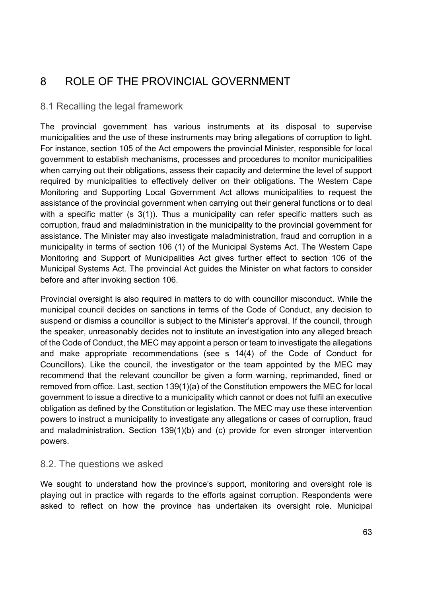# 8 ROLE OF THE PROVINCIAL GOVERNMENT

# 8.1 Recalling the legal framework

The provincial government has various instruments at its disposal to supervise municipalities and the use of these instruments may bring allegations of corruption to light. For instance, section 105 of the Act empowers the provincial Minister, responsible for local government to establish mechanisms, processes and procedures to monitor municipalities when carrying out their obligations, assess their capacity and determine the level of support required by municipalities to effectively deliver on their obligations. The Western Cape Monitoring and Supporting Local Government Act allows municipalities to request the assistance of the provincial government when carrying out their general functions or to deal with a specific matter (s 3(1)). Thus a municipality can refer specific matters such as corruption, fraud and maladministration in the municipality to the provincial government for assistance. The Minister may also investigate maladministration, fraud and corruption in a municipality in terms of section 106 (1) of the Municipal Systems Act. The Western Cape Monitoring and Support of Municipalities Act gives further effect to section 106 of the Municipal Systems Act. The provincial Act guides the Minister on what factors to consider before and after invoking section 106.

Provincial oversight is also required in matters to do with councillor misconduct. While the municipal council decides on sanctions in terms of the Code of Conduct, any decision to suspend or dismiss a councillor is subject to the Minister's approval. If the council, through the speaker, unreasonably decides not to institute an investigation into any alleged breach of the Code of Conduct, the MEC may appoint a person or team to investigate the allegations and make appropriate recommendations (see s 14(4) of the Code of Conduct for Councillors). Like the council, the investigator or the team appointed by the MEC may recommend that the relevant councillor be given a form warning, reprimanded, fined or removed from office. Last, section 139(1)(a) of the Constitution empowers the MEC for local government to issue a directive to a municipality which cannot or does not fulfil an executive obligation as defined by the Constitution or legislation. The MEC may use these intervention powers to instruct a municipality to investigate any allegations or cases of corruption, fraud and maladministration. Section 139(1)(b) and (c) provide for even stronger intervention powers.

### 8.2. The questions we asked

We sought to understand how the province's support, monitoring and oversight role is playing out in practice with regards to the efforts against corruption. Respondents were asked to reflect on how the province has undertaken its oversight role. Municipal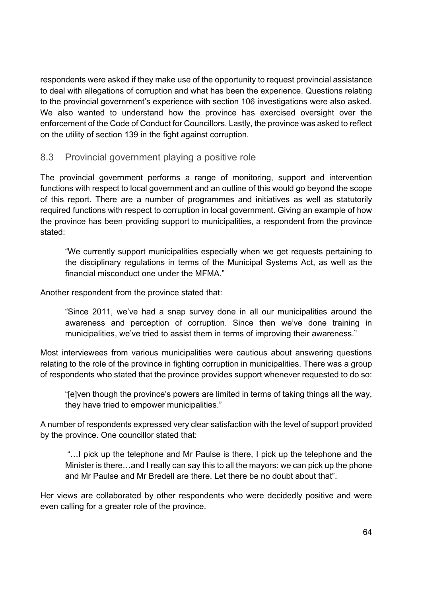respondents were asked if they make use of the opportunity to request provincial assistance to deal with allegations of corruption and what has been the experience. Questions relating to the provincial government's experience with section 106 investigations were also asked. We also wanted to understand how the province has exercised oversight over the enforcement of the Code of Conduct for Councillors. Lastly, the province was asked to reflect on the utility of section 139 in the fight against corruption.

# 8.3 Provincial government playing a positive role

The provincial government performs a range of monitoring, support and intervention functions with respect to local government and an outline of this would go beyond the scope of this report. There are a number of programmes and initiatives as well as statutorily required functions with respect to corruption in local government. Giving an example of how the province has been providing support to municipalities, a respondent from the province stated:

"We currently support municipalities especially when we get requests pertaining to the disciplinary regulations in terms of the Municipal Systems Act, as well as the financial misconduct one under the MFMA."

Another respondent from the province stated that:

"Since 2011, we've had a snap survey done in all our municipalities around the awareness and perception of corruption. Since then we've done training in municipalities, we've tried to assist them in terms of improving their awareness."

Most interviewees from various municipalities were cautious about answering questions relating to the role of the province in fighting corruption in municipalities. There was a group of respondents who stated that the province provides support whenever requested to do so:

"[e]ven though the province's powers are limited in terms of taking things all the way, they have tried to empower municipalities."

A number of respondents expressed very clear satisfaction with the level of support provided by the province. One councillor stated that:

 "…I pick up the telephone and Mr Paulse is there, I pick up the telephone and the Minister is there…and I really can say this to all the mayors: we can pick up the phone and Mr Paulse and Mr Bredell are there. Let there be no doubt about that".

Her views are collaborated by other respondents who were decidedly positive and were even calling for a greater role of the province.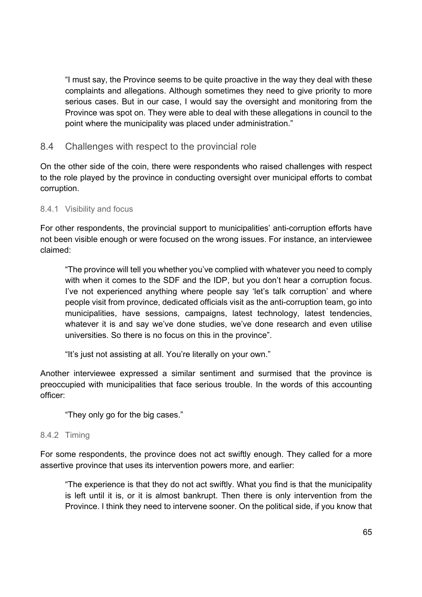"I must say, the Province seems to be quite proactive in the way they deal with these complaints and allegations. Although sometimes they need to give priority to more serious cases. But in our case, I would say the oversight and monitoring from the Province was spot on. They were able to deal with these allegations in council to the point where the municipality was placed under administration."

### 8.4 Challenges with respect to the provincial role

On the other side of the coin, there were respondents who raised challenges with respect to the role played by the province in conducting oversight over municipal efforts to combat corruption.

### 8.4.1 Visibility and focus

For other respondents, the provincial support to municipalities' anti-corruption efforts have not been visible enough or were focused on the wrong issues. For instance, an interviewee claimed:

"The province will tell you whether you've complied with whatever you need to comply with when it comes to the SDF and the IDP, but you don't hear a corruption focus. I've not experienced anything where people say 'let's talk corruption' and where people visit from province, dedicated officials visit as the anti-corruption team, go into municipalities, have sessions, campaigns, latest technology, latest tendencies, whatever it is and say we've done studies, we've done research and even utilise universities. So there is no focus on this in the province".

"It's just not assisting at all. You're literally on your own."

Another interviewee expressed a similar sentiment and surmised that the province is preoccupied with municipalities that face serious trouble. In the words of this accounting officer:

"They only go for the big cases."

### 8.4.2 Timing

For some respondents, the province does not act swiftly enough. They called for a more assertive province that uses its intervention powers more, and earlier:

"The experience is that they do not act swiftly. What you find is that the municipality is left until it is, or it is almost bankrupt. Then there is only intervention from the Province. I think they need to intervene sooner. On the political side, if you know that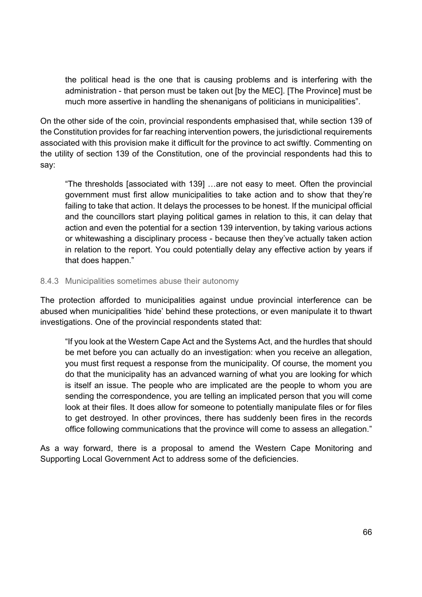the political head is the one that is causing problems and is interfering with the administration - that person must be taken out [by the MEC]. [The Province] must be much more assertive in handling the shenanigans of politicians in municipalities".

On the other side of the coin, provincial respondents emphasised that, while section 139 of the Constitution provides for far reaching intervention powers, the jurisdictional requirements associated with this provision make it difficult for the province to act swiftly. Commenting on the utility of section 139 of the Constitution, one of the provincial respondents had this to say:

"The thresholds [associated with 139] …are not easy to meet. Often the provincial government must first allow municipalities to take action and to show that they're failing to take that action. It delays the processes to be honest. If the municipal official and the councillors start playing political games in relation to this, it can delay that action and even the potential for a section 139 intervention, by taking various actions or whitewashing a disciplinary process - because then they've actually taken action in relation to the report. You could potentially delay any effective action by years if that does happen."

#### 8.4.3 Municipalities sometimes abuse their autonomy

The protection afforded to municipalities against undue provincial interference can be abused when municipalities 'hide' behind these protections, or even manipulate it to thwart investigations. One of the provincial respondents stated that:

"If you look at the Western Cape Act and the Systems Act, and the hurdles that should be met before you can actually do an investigation: when you receive an allegation, you must first request a response from the municipality. Of course, the moment you do that the municipality has an advanced warning of what you are looking for which is itself an issue. The people who are implicated are the people to whom you are sending the correspondence, you are telling an implicated person that you will come look at their files. It does allow for someone to potentially manipulate files or for files to get destroyed. In other provinces, there has suddenly been fires in the records office following communications that the province will come to assess an allegation."

As a way forward, there is a proposal to amend the Western Cape Monitoring and Supporting Local Government Act to address some of the deficiencies.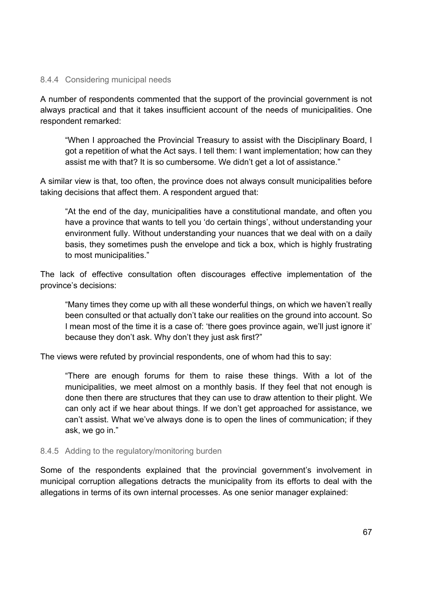#### 8.4.4 Considering municipal needs

A number of respondents commented that the support of the provincial government is not always practical and that it takes insufficient account of the needs of municipalities. One respondent remarked:

"When I approached the Provincial Treasury to assist with the Disciplinary Board, I got a repetition of what the Act says. I tell them: I want implementation; how can they assist me with that? It is so cumbersome. We didn't get a lot of assistance."

A similar view is that, too often, the province does not always consult municipalities before taking decisions that affect them. A respondent argued that:

"At the end of the day, municipalities have a constitutional mandate, and often you have a province that wants to tell you 'do certain things', without understanding your environment fully. Without understanding your nuances that we deal with on a daily basis, they sometimes push the envelope and tick a box, which is highly frustrating to most municipalities."

The lack of effective consultation often discourages effective implementation of the province's decisions:

"Many times they come up with all these wonderful things, on which we haven't really been consulted or that actually don't take our realities on the ground into account. So I mean most of the time it is a case of: 'there goes province again, we'll just ignore it' because they don't ask. Why don't they just ask first?"

The views were refuted by provincial respondents, one of whom had this to say:

"There are enough forums for them to raise these things. With a lot of the municipalities, we meet almost on a monthly basis. If they feel that not enough is done then there are structures that they can use to draw attention to their plight. We can only act if we hear about things. If we don't get approached for assistance, we can't assist. What we've always done is to open the lines of communication; if they ask, we go in."

### 8.4.5 Adding to the regulatory/monitoring burden

Some of the respondents explained that the provincial government's involvement in municipal corruption allegations detracts the municipality from its efforts to deal with the allegations in terms of its own internal processes. As one senior manager explained: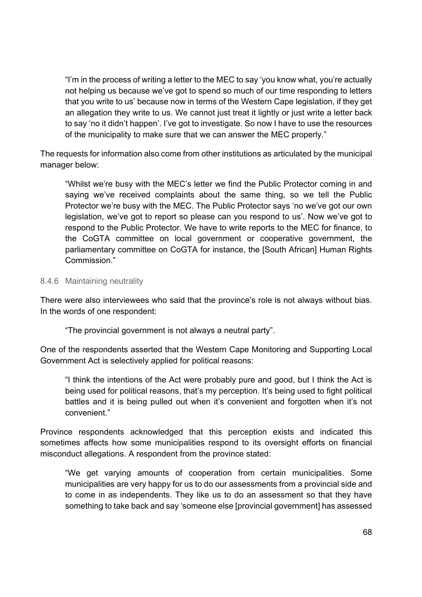"I'm in the process of writing a letter to the MEC to say 'you know what, you're actually not helping us because we've got to spend so much of our time responding to letters that you write to us' because now in terms of the Western Cape legislation, if they get an allegation they write to us. We cannot just treat it lightly or just write a letter back to say 'no it didn't happen'. I've got to investigate. So now I have to use the resources of the municipality to make sure that we can answer the MEC properly."

The requests for information also come from other institutions as articulated by the municipal manager below:

"Whilst we're busy with the MEC's letter we find the Public Protector coming in and saying we've received complaints about the same thing, so we tell the Public Protector we're busy with the MEC. The Public Protector says 'no we've got our own legislation, we've got to report so please can you respond to us'. Now we've got to respond to the Public Protector. We have to write reports to the MEC for finance, to the CoGTA committee on local government or cooperative government, the parliamentary committee on CoGTA for instance, the [South African] Human Rights Commission."

#### 8.4.6 Maintaining neutrality

There were also interviewees who said that the province's role is not always without bias. In the words of one respondent:

"The provincial government is not always a neutral party".

One of the respondents asserted that the Western Cape Monitoring and Supporting Local Government Act is selectively applied for political reasons:

"I think the intentions of the Act were probably pure and good, but I think the Act is being used for political reasons, that's my perception. It's being used to fight political battles and it is being pulled out when it's convenient and forgotten when it's not convenient."

Province respondents acknowledged that this perception exists and indicated this sometimes affects how some municipalities respond to its oversight efforts on financial misconduct allegations. A respondent from the province stated:

"We get varying amounts of cooperation from certain municipalities. Some municipalities are very happy for us to do our assessments from a provincial side and to come in as independents. They like us to do an assessment so that they have something to take back and say 'someone else [provincial government] has assessed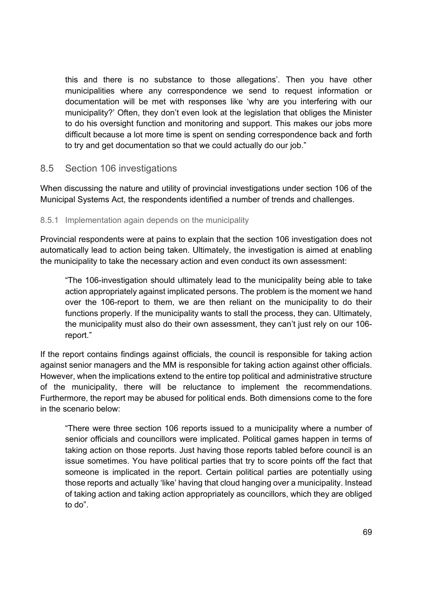this and there is no substance to those allegations'. Then you have other municipalities where any correspondence we send to request information or documentation will be met with responses like 'why are you interfering with our municipality?' Often, they don't even look at the legislation that obliges the Minister to do his oversight function and monitoring and support. This makes our jobs more difficult because a lot more time is spent on sending correspondence back and forth to try and get documentation so that we could actually do our job."

# 8.5 Section 106 investigations

When discussing the nature and utility of provincial investigations under section 106 of the Municipal Systems Act, the respondents identified a number of trends and challenges.

### 8.5.1 Implementation again depends on the municipality

Provincial respondents were at pains to explain that the section 106 investigation does not automatically lead to action being taken. Ultimately, the investigation is aimed at enabling the municipality to take the necessary action and even conduct its own assessment:

"The 106-investigation should ultimately lead to the municipality being able to take action appropriately against implicated persons. The problem is the moment we hand over the 106-report to them, we are then reliant on the municipality to do their functions properly. If the municipality wants to stall the process, they can. Ultimately, the municipality must also do their own assessment, they can't just rely on our 106 report."

If the report contains findings against officials, the council is responsible for taking action against senior managers and the MM is responsible for taking action against other officials. However, when the implications extend to the entire top political and administrative structure of the municipality, there will be reluctance to implement the recommendations. Furthermore, the report may be abused for political ends. Both dimensions come to the fore in the scenario below:

"There were three section 106 reports issued to a municipality where a number of senior officials and councillors were implicated. Political games happen in terms of taking action on those reports. Just having those reports tabled before council is an issue sometimes. You have political parties that try to score points off the fact that someone is implicated in the report. Certain political parties are potentially using those reports and actually 'like' having that cloud hanging over a municipality. Instead of taking action and taking action appropriately as councillors, which they are obliged to do".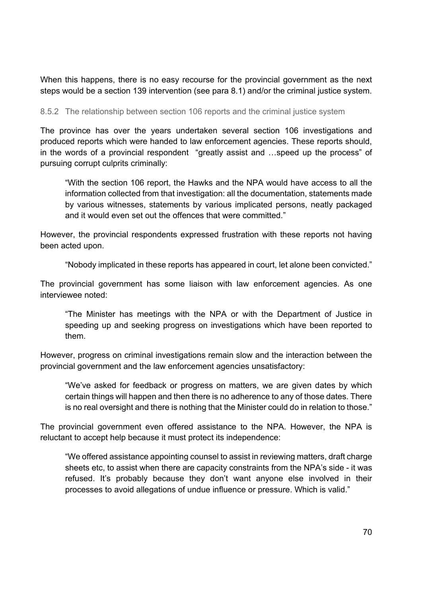When this happens, there is no easy recourse for the provincial government as the next steps would be a section 139 intervention (see para 8.1) and/or the criminal justice system.

8.5.2 The relationship between section 106 reports and the criminal justice system

The province has over the years undertaken several section 106 investigations and produced reports which were handed to law enforcement agencies. These reports should, in the words of a provincial respondent "greatly assist and …speed up the process" of pursuing corrupt culprits criminally:

"With the section 106 report, the Hawks and the NPA would have access to all the information collected from that investigation: all the documentation, statements made by various witnesses, statements by various implicated persons, neatly packaged and it would even set out the offences that were committed."

However, the provincial respondents expressed frustration with these reports not having been acted upon.

"Nobody implicated in these reports has appeared in court, let alone been convicted."

The provincial government has some liaison with law enforcement agencies. As one interviewee noted:

"The Minister has meetings with the NPA or with the Department of Justice in speeding up and seeking progress on investigations which have been reported to them.

However, progress on criminal investigations remain slow and the interaction between the provincial government and the law enforcement agencies unsatisfactory:

"We've asked for feedback or progress on matters, we are given dates by which certain things will happen and then there is no adherence to any of those dates. There is no real oversight and there is nothing that the Minister could do in relation to those."

The provincial government even offered assistance to the NPA. However, the NPA is reluctant to accept help because it must protect its independence:

"We offered assistance appointing counsel to assist in reviewing matters, draft charge sheets etc, to assist when there are capacity constraints from the NPA's side - it was refused. It's probably because they don't want anyone else involved in their processes to avoid allegations of undue influence or pressure. Which is valid."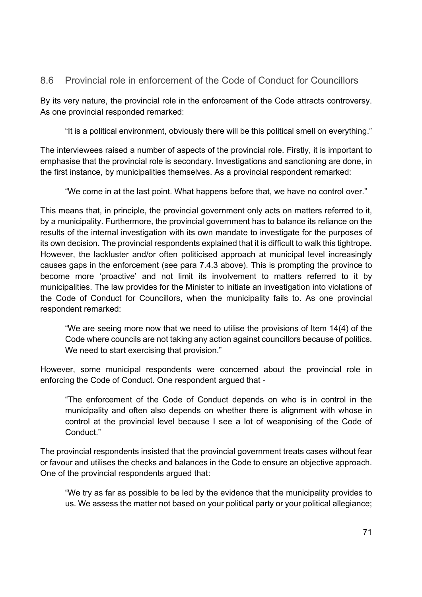# 8.6 Provincial role in enforcement of the Code of Conduct for Councillors

By its very nature, the provincial role in the enforcement of the Code attracts controversy. As one provincial responded remarked:

"It is a political environment, obviously there will be this political smell on everything."

The interviewees raised a number of aspects of the provincial role. Firstly, it is important to emphasise that the provincial role is secondary. Investigations and sanctioning are done, in the first instance, by municipalities themselves. As a provincial respondent remarked:

"We come in at the last point. What happens before that, we have no control over."

This means that, in principle, the provincial government only acts on matters referred to it, by a municipality. Furthermore, the provincial government has to balance its reliance on the results of the internal investigation with its own mandate to investigate for the purposes of its own decision. The provincial respondents explained that it is difficult to walk this tightrope. However, the lackluster and/or often politicised approach at municipal level increasingly causes gaps in the enforcement (see para 7.4.3 above). This is prompting the province to become more 'proactive' and not limit its involvement to matters referred to it by municipalities. The law provides for the Minister to initiate an investigation into violations of the Code of Conduct for Councillors, when the municipality fails to. As one provincial respondent remarked:

"We are seeing more now that we need to utilise the provisions of Item 14(4) of the Code where councils are not taking any action against councillors because of politics. We need to start exercising that provision."

However, some municipal respondents were concerned about the provincial role in enforcing the Code of Conduct. One respondent argued that -

"The enforcement of the Code of Conduct depends on who is in control in the municipality and often also depends on whether there is alignment with whose in control at the provincial level because I see a lot of weaponising of the Code of Conduct."

The provincial respondents insisted that the provincial government treats cases without fear or favour and utilises the checks and balances in the Code to ensure an objective approach. One of the provincial respondents argued that:

"We try as far as possible to be led by the evidence that the municipality provides to us. We assess the matter not based on your political party or your political allegiance;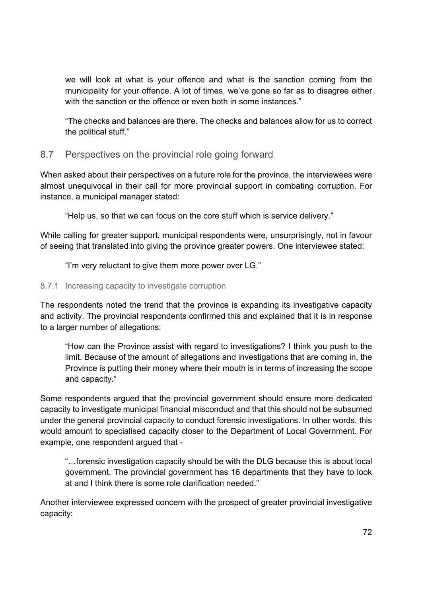we will look at what is your offence and what is the sanction coming from the municipality for your offence. A lot of times, we've gone so far as to disagree either with the sanction or the offence or even both in some instances."

"The checks and balances are there. The checks and balances allow for us to correct the political stuff."

# 8.7 Perspectives on the provincial role going forward

When asked about their perspectives on a future role for the province, the interviewees were almost unequivocal in their call for more provincial support in combating corruption. For instance, a municipal manager stated:

"Help us, so that we can focus on the core stuff which is service delivery."

While calling for greater support, municipal respondents were, unsurprisingly, not in favour of seeing that translated into giving the province greater powers. One interviewee stated:

"I'm very reluctant to give them more power over LG."

### 8.7.1 Increasing capacity to investigate corruption

The respondents noted the trend that the province is expanding its investigative capacity and activity. The provincial respondents confirmed this and explained that it is in response to a larger number of allegations:

"How can the Province assist with regard to investigations? I think you push to the limit. Because of the amount of allegations and investigations that are coming in, the Province is putting their money where their mouth is in terms of increasing the scope and capacity."

Some respondents argued that the provincial government should ensure more dedicated capacity to investigate municipal financial misconduct and that this should not be subsumed under the general provincial capacity to conduct forensic investigations. In other words, this would amount to specialised capacity closer to the Department of Local Government. For example, one respondent argued that -

"…forensic investigation capacity should be with the DLG because this is about local government. The provincial government has 16 departments that they have to look at and I think there is some role clarification needed."

Another interviewee expressed concern with the prospect of greater provincial investigative capacity: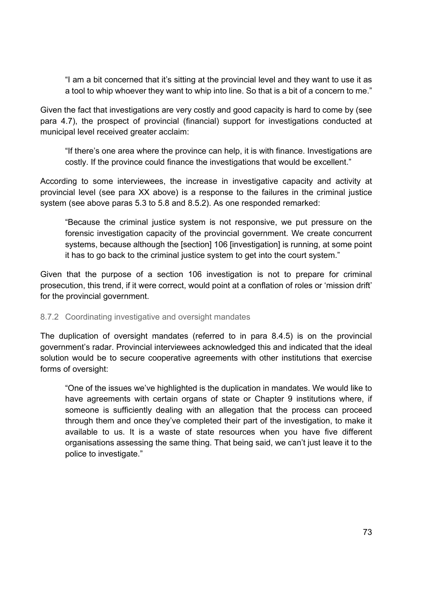"I am a bit concerned that it's sitting at the provincial level and they want to use it as a tool to whip whoever they want to whip into line. So that is a bit of a concern to me."

Given the fact that investigations are very costly and good capacity is hard to come by (see para 4.7), the prospect of provincial (financial) support for investigations conducted at municipal level received greater acclaim:

"If there's one area where the province can help, it is with finance. Investigations are costly. If the province could finance the investigations that would be excellent."

According to some interviewees, the increase in investigative capacity and activity at provincial level (see para XX above) is a response to the failures in the criminal justice system (see above paras 5.3 to 5.8 and 8.5.2). As one responded remarked:

"Because the criminal justice system is not responsive, we put pressure on the forensic investigation capacity of the provincial government. We create concurrent systems, because although the [section] 106 [investigation] is running, at some point it has to go back to the criminal justice system to get into the court system."

Given that the purpose of a section 106 investigation is not to prepare for criminal prosecution, this trend, if it were correct, would point at a conflation of roles or 'mission drift' for the provincial government.

#### 8.7.2 Coordinating investigative and oversight mandates

The duplication of oversight mandates (referred to in para 8.4.5) is on the provincial government's radar. Provincial interviewees acknowledged this and indicated that the ideal solution would be to secure cooperative agreements with other institutions that exercise forms of oversight:

"One of the issues we've highlighted is the duplication in mandates. We would like to have agreements with certain organs of state or Chapter 9 institutions where, if someone is sufficiently dealing with an allegation that the process can proceed through them and once they've completed their part of the investigation, to make it available to us. It is a waste of state resources when you have five different organisations assessing the same thing. That being said, we can't just leave it to the police to investigate."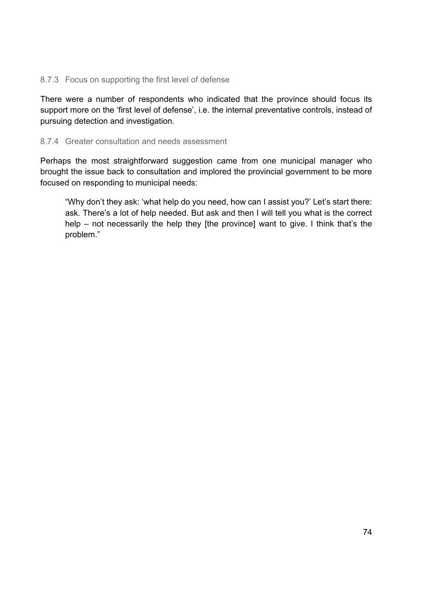#### 8.7.3 Focus on supporting the first level of defense

There were a number of respondents who indicated that the province should focus its support more on the 'first level of defense', i.e. the internal preventative controls, instead of pursuing detection and investigation.

#### 8.7.4 Greater consultation and needs assessment

Perhaps the most straightforward suggestion came from one municipal manager who brought the issue back to consultation and implored the provincial government to be more focused on responding to municipal needs:

"Why don't they ask: 'what help do you need, how can I assist you?' Let's start there: ask. There's a lot of help needed. But ask and then I will tell you what is the correct help – not necessarily the help they [the province] want to give. I think that's the problem."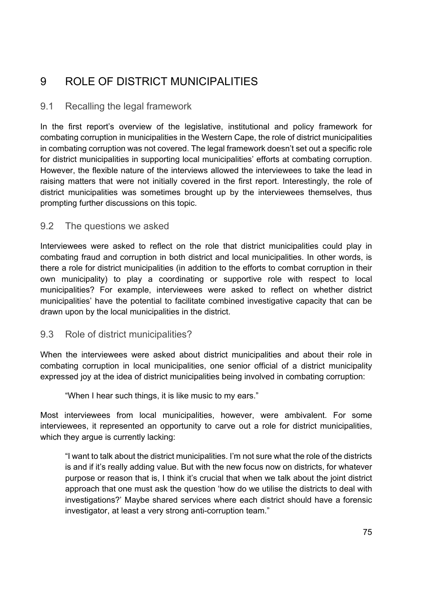# 9 ROLE OF DISTRICT MUNICIPALITIES

# 9.1 Recalling the legal framework

In the first report's overview of the legislative, institutional and policy framework for combating corruption in municipalities in the Western Cape, the role of district municipalities in combating corruption was not covered. The legal framework doesn't set out a specific role for district municipalities in supporting local municipalities' efforts at combating corruption. However, the flexible nature of the interviews allowed the interviewees to take the lead in raising matters that were not initially covered in the first report. Interestingly, the role of district municipalities was sometimes brought up by the interviewees themselves, thus prompting further discussions on this topic.

# 9.2 The questions we asked

Interviewees were asked to reflect on the role that district municipalities could play in combating fraud and corruption in both district and local municipalities. In other words, is there a role for district municipalities (in addition to the efforts to combat corruption in their own municipality) to play a coordinating or supportive role with respect to local municipalities? For example, interviewees were asked to reflect on whether district municipalities' have the potential to facilitate combined investigative capacity that can be drawn upon by the local municipalities in the district.

# 9.3 Role of district municipalities?

When the interviewees were asked about district municipalities and about their role in combating corruption in local municipalities, one senior official of a district municipality expressed joy at the idea of district municipalities being involved in combating corruption:

"When I hear such things, it is like music to my ears."

Most interviewees from local municipalities, however, were ambivalent. For some interviewees, it represented an opportunity to carve out a role for district municipalities, which they argue is currently lacking:

"I want to talk about the district municipalities. I'm not sure what the role of the districts is and if it's really adding value. But with the new focus now on districts, for whatever purpose or reason that is, I think it's crucial that when we talk about the joint district approach that one must ask the question 'how do we utilise the districts to deal with investigations?' Maybe shared services where each district should have a forensic investigator, at least a very strong anti-corruption team."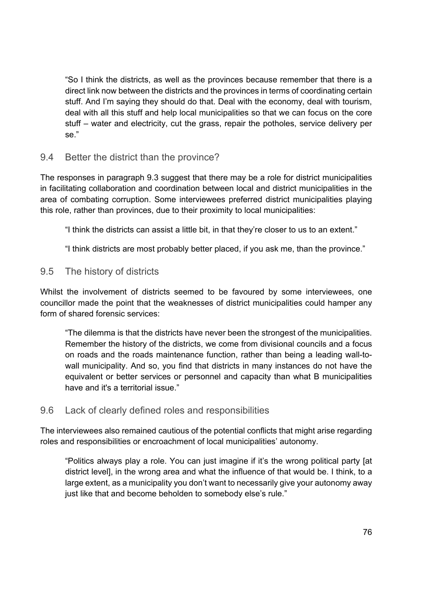"So I think the districts, as well as the provinces because remember that there is a direct link now between the districts and the provinces in terms of coordinating certain stuff. And I'm saying they should do that. Deal with the economy, deal with tourism, deal with all this stuff and help local municipalities so that we can focus on the core stuff – water and electricity, cut the grass, repair the potholes, service delivery per se."

#### 9.4 Better the district than the province?

The responses in paragraph 9.3 suggest that there may be a role for district municipalities in facilitating collaboration and coordination between local and district municipalities in the area of combating corruption. Some interviewees preferred district municipalities playing this role, rather than provinces, due to their proximity to local municipalities:

"I think the districts can assist a little bit, in that they're closer to us to an extent."

"I think districts are most probably better placed, if you ask me, than the province."

#### 9.5 The history of districts

Whilst the involvement of districts seemed to be favoured by some interviewees, one councillor made the point that the weaknesses of district municipalities could hamper any form of shared forensic services:

"The dilemma is that the districts have never been the strongest of the municipalities. Remember the history of the districts, we come from divisional councils and a focus on roads and the roads maintenance function, rather than being a leading wall-towall municipality. And so, you find that districts in many instances do not have the equivalent or better services or personnel and capacity than what B municipalities have and it's a territorial issue."

#### 9.6 Lack of clearly defined roles and responsibilities

The interviewees also remained cautious of the potential conflicts that might arise regarding roles and responsibilities or encroachment of local municipalities' autonomy.

"Politics always play a role. You can just imagine if it's the wrong political party [at district level], in the wrong area and what the influence of that would be. I think, to a large extent, as a municipality you don't want to necessarily give your autonomy away just like that and become beholden to somebody else's rule."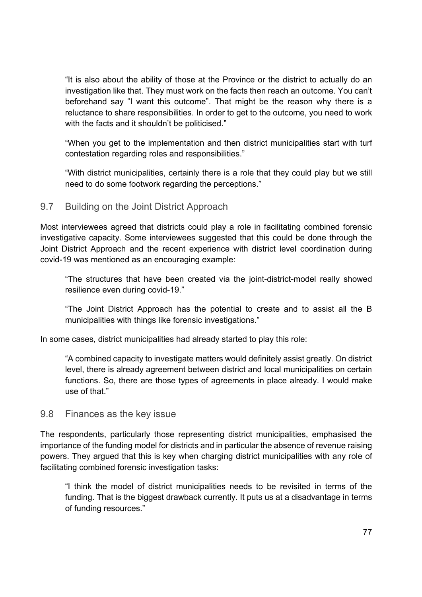"It is also about the ability of those at the Province or the district to actually do an investigation like that. They must work on the facts then reach an outcome. You can't beforehand say "I want this outcome". That might be the reason why there is a reluctance to share responsibilities. In order to get to the outcome, you need to work with the facts and it shouldn't be politicised."

"When you get to the implementation and then district municipalities start with turf contestation regarding roles and responsibilities."

"With district municipalities, certainly there is a role that they could play but we still need to do some footwork regarding the perceptions."

## 9.7 Building on the Joint District Approach

Most interviewees agreed that districts could play a role in facilitating combined forensic investigative capacity. Some interviewees suggested that this could be done through the Joint District Approach and the recent experience with district level coordination during covid-19 was mentioned as an encouraging example:

"The structures that have been created via the joint-district-model really showed resilience even during covid-19."

"The Joint District Approach has the potential to create and to assist all the B municipalities with things like forensic investigations."

In some cases, district municipalities had already started to play this role:

"A combined capacity to investigate matters would definitely assist greatly. On district level, there is already agreement between district and local municipalities on certain functions. So, there are those types of agreements in place already. I would make use of that."

#### 9.8 Finances as the key issue

The respondents, particularly those representing district municipalities, emphasised the importance of the funding model for districts and in particular the absence of revenue raising powers. They argued that this is key when charging district municipalities with any role of facilitating combined forensic investigation tasks:

"I think the model of district municipalities needs to be revisited in terms of the funding. That is the biggest drawback currently. It puts us at a disadvantage in terms of funding resources."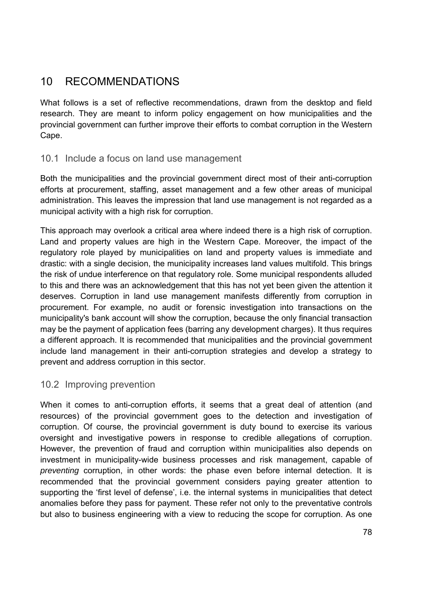# 10 RECOMMENDATIONS

What follows is a set of reflective recommendations, drawn from the desktop and field research. They are meant to inform policy engagement on how municipalities and the provincial government can further improve their efforts to combat corruption in the Western Cape.

## 10.1 Include a focus on land use management

Both the municipalities and the provincial government direct most of their anti-corruption efforts at procurement, staffing, asset management and a few other areas of municipal administration. This leaves the impression that land use management is not regarded as a municipal activity with a high risk for corruption.

This approach may overlook a critical area where indeed there is a high risk of corruption. Land and property values are high in the Western Cape. Moreover, the impact of the regulatory role played by municipalities on land and property values is immediate and drastic: with a single decision, the municipality increases land values multifold. This brings the risk of undue interference on that regulatory role. Some municipal respondents alluded to this and there was an acknowledgement that this has not yet been given the attention it deserves. Corruption in land use management manifests differently from corruption in procurement. For example, no audit or forensic investigation into transactions on the municipality's bank account will show the corruption, because the only financial transaction may be the payment of application fees (barring any development charges). It thus requires a different approach. It is recommended that municipalities and the provincial government include land management in their anti-corruption strategies and develop a strategy to prevent and address corruption in this sector.

# 10.2 Improving prevention

When it comes to anti-corruption efforts, it seems that a great deal of attention (and resources) of the provincial government goes to the detection and investigation of corruption. Of course, the provincial government is duty bound to exercise its various oversight and investigative powers in response to credible allegations of corruption. However, the prevention of fraud and corruption within municipalities also depends on investment in municipality-wide business processes and risk management, capable of *preventing* corruption, in other words: the phase even before internal detection. It is recommended that the provincial government considers paying greater attention to supporting the 'first level of defense', i.e. the internal systems in municipalities that detect anomalies before they pass for payment. These refer not only to the preventative controls but also to business engineering with a view to reducing the scope for corruption. As one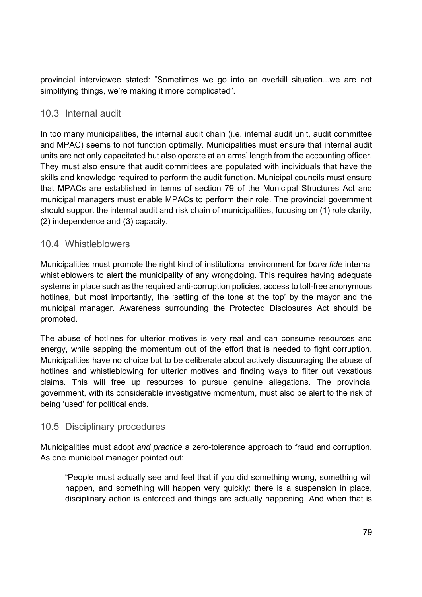provincial interviewee stated: "Sometimes we go into an overkill situation...we are not simplifying things, we're making it more complicated".

## 10.3 Internal audit

In too many municipalities, the internal audit chain (i.e. internal audit unit, audit committee and MPAC) seems to not function optimally. Municipalities must ensure that internal audit units are not only capacitated but also operate at an arms' length from the accounting officer. They must also ensure that audit committees are populated with individuals that have the skills and knowledge required to perform the audit function. Municipal councils must ensure that MPACs are established in terms of section 79 of the Municipal Structures Act and municipal managers must enable MPACs to perform their role. The provincial government should support the internal audit and risk chain of municipalities, focusing on (1) role clarity, (2) independence and (3) capacity.

## 10.4 Whistleblowers

Municipalities must promote the right kind of institutional environment for *bona fide* internal whistleblowers to alert the municipality of any wrongdoing. This requires having adequate systems in place such as the required anti-corruption policies, access to toll-free anonymous hotlines, but most importantly, the 'setting of the tone at the top' by the mayor and the municipal manager. Awareness surrounding the Protected Disclosures Act should be promoted.

The abuse of hotlines for ulterior motives is very real and can consume resources and energy, while sapping the momentum out of the effort that is needed to fight corruption. Municipalities have no choice but to be deliberate about actively discouraging the abuse of hotlines and whistleblowing for ulterior motives and finding ways to filter out vexatious claims. This will free up resources to pursue genuine allegations. The provincial government, with its considerable investigative momentum, must also be alert to the risk of being 'used' for political ends.

#### 10.5 Disciplinary procedures

Municipalities must adopt *and practice* a zero-tolerance approach to fraud and corruption. As one municipal manager pointed out:

"People must actually see and feel that if you did something wrong, something will happen, and something will happen very quickly: there is a suspension in place, disciplinary action is enforced and things are actually happening. And when that is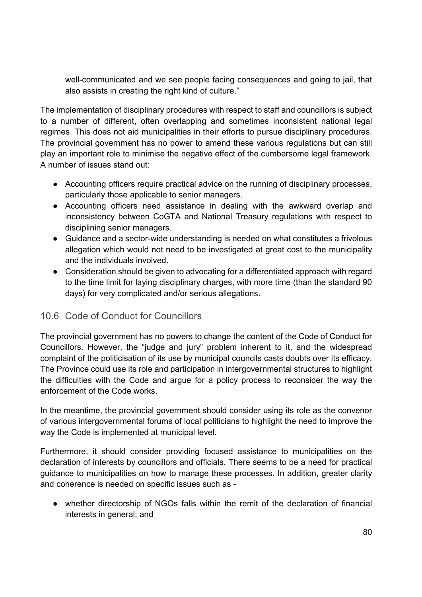well-communicated and we see people facing consequences and going to jail, that also assists in creating the right kind of culture."

The implementation of disciplinary procedures with respect to staff and councillors is subject to a number of different, often overlapping and sometimes inconsistent national legal regimes. This does not aid municipalities in their efforts to pursue disciplinary procedures. The provincial government has no power to amend these various regulations but can still play an important role to minimise the negative effect of the cumbersome legal framework. A number of issues stand out:

- Accounting officers require practical advice on the running of disciplinary processes, particularly those applicable to senior managers.
- Accounting officers need assistance in dealing with the awkward overlap and inconsistency between CoGTA and National Treasury regulations with respect to disciplining senior managers.
- Guidance and a sector-wide understanding is needed on what constitutes a frivolous allegation which would not need to be investigated at great cost to the municipality and the individuals involved.
- Consideration should be given to advocating for a differentiated approach with regard to the time limit for laying disciplinary charges, with more time (than the standard 90 days) for very complicated and/or serious allegations.

# 10.6 Code of Conduct for Councillors

The provincial government has no powers to change the content of the Code of Conduct for Councillors. However, the "judge and jury" problem inherent to it, and the widespread complaint of the politicisation of its use by municipal councils casts doubts over its efficacy. The Province could use its role and participation in intergovernmental structures to highlight the difficulties with the Code and argue for a policy process to reconsider the way the enforcement of the Code works.

In the meantime, the provincial government should consider using its role as the convenor of various intergovernmental forums of local politicians to highlight the need to improve the way the Code is implemented at municipal level.

Furthermore, it should consider providing focused assistance to municipalities on the declaration of interests by councillors and officials. There seems to be a need for practical guidance to municipalities on how to manage these processes. In addition, greater clarity and coherence is needed on specific issues such as -

● whether directorship of NGOs falls within the remit of the declaration of financial interests in general; and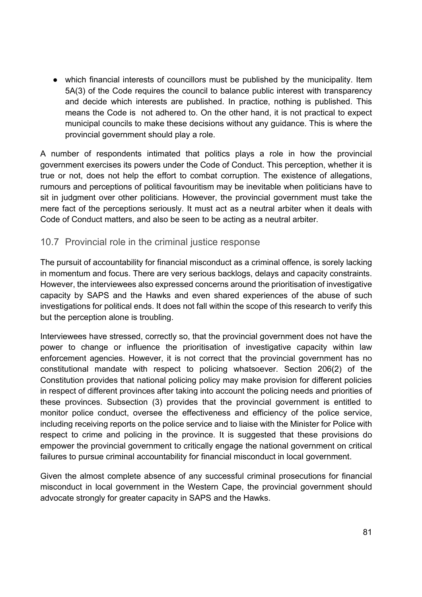● which financial interests of councillors must be published by the municipality. Item 5A(3) of the Code requires the council to balance public interest with transparency and decide which interests are published. In practice, nothing is published. This means the Code is not adhered to. On the other hand, it is not practical to expect municipal councils to make these decisions without any guidance. This is where the provincial government should play a role.

A number of respondents intimated that politics plays a role in how the provincial government exercises its powers under the Code of Conduct. This perception, whether it is true or not, does not help the effort to combat corruption. The existence of allegations, rumours and perceptions of political favouritism may be inevitable when politicians have to sit in judgment over other politicians. However, the provincial government must take the mere fact of the perceptions seriously. It must act as a neutral arbiter when it deals with Code of Conduct matters, and also be seen to be acting as a neutral arbiter.

## 10.7 Provincial role in the criminal justice response

The pursuit of accountability for financial misconduct as a criminal offence, is sorely lacking in momentum and focus. There are very serious backlogs, delays and capacity constraints. However, the interviewees also expressed concerns around the prioritisation of investigative capacity by SAPS and the Hawks and even shared experiences of the abuse of such investigations for political ends. It does not fall within the scope of this research to verify this but the perception alone is troubling.

Interviewees have stressed, correctly so, that the provincial government does not have the power to change or influence the prioritisation of investigative capacity within law enforcement agencies. However, it is not correct that the provincial government has no constitutional mandate with respect to policing whatsoever. Section 206(2) of the Constitution provides that national policing policy may make provision for different policies in respect of different provinces after taking into account the policing needs and priorities of these provinces. Subsection (3) provides that the provincial government is entitled to monitor police conduct, oversee the effectiveness and efficiency of the police service, including receiving reports on the police service and to liaise with the Minister for Police with respect to crime and policing in the province. It is suggested that these provisions do empower the provincial government to critically engage the national government on critical failures to pursue criminal accountability for financial misconduct in local government.

Given the almost complete absence of any successful criminal prosecutions for financial misconduct in local government in the Western Cape, the provincial government should advocate strongly for greater capacity in SAPS and the Hawks.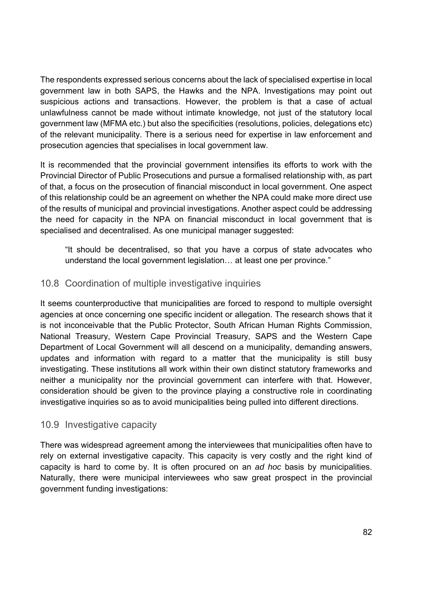The respondents expressed serious concerns about the lack of specialised expertise in local government law in both SAPS, the Hawks and the NPA. Investigations may point out suspicious actions and transactions. However, the problem is that a case of actual unlawfulness cannot be made without intimate knowledge, not just of the statutory local government law (MFMA etc.) but also the specificities (resolutions, policies, delegations etc) of the relevant municipality. There is a serious need for expertise in law enforcement and prosecution agencies that specialises in local government law.

It is recommended that the provincial government intensifies its efforts to work with the Provincial Director of Public Prosecutions and pursue a formalised relationship with, as part of that, a focus on the prosecution of financial misconduct in local government. One aspect of this relationship could be an agreement on whether the NPA could make more direct use of the results of municipal and provincial investigations. Another aspect could be addressing the need for capacity in the NPA on financial misconduct in local government that is specialised and decentralised. As one municipal manager suggested:

"It should be decentralised, so that you have a corpus of state advocates who understand the local government legislation… at least one per province."

## 10.8 Coordination of multiple investigative inquiries

It seems counterproductive that municipalities are forced to respond to multiple oversight agencies at once concerning one specific incident or allegation. The research shows that it is not inconceivable that the Public Protector, South African Human Rights Commission, National Treasury, Western Cape Provincial Treasury, SAPS and the Western Cape Department of Local Government will all descend on a municipality, demanding answers, updates and information with regard to a matter that the municipality is still busy investigating. These institutions all work within their own distinct statutory frameworks and neither a municipality nor the provincial government can interfere with that. However, consideration should be given to the province playing a constructive role in coordinating investigative inquiries so as to avoid municipalities being pulled into different directions.

#### 10.9 Investigative capacity

There was widespread agreement among the interviewees that municipalities often have to rely on external investigative capacity. This capacity is very costly and the right kind of capacity is hard to come by. It is often procured on an *ad hoc* basis by municipalities. Naturally, there were municipal interviewees who saw great prospect in the provincial government funding investigations: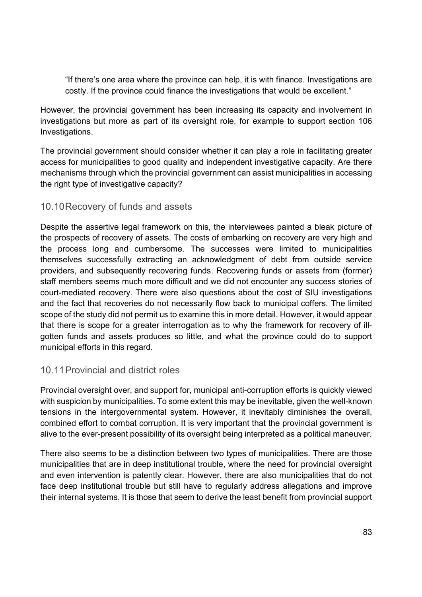"If there's one area where the province can help, it is with finance. Investigations are costly. If the province could finance the investigations that would be excellent."

However, the provincial government has been increasing its capacity and involvement in investigations but more as part of its oversight role, for example to support section 106 Investigations.

The provincial government should consider whether it can play a role in facilitating greater access for municipalities to good quality and independent investigative capacity. Are there mechanisms through which the provincial government can assist municipalities in accessing the right type of investigative capacity?

# 10.10 Recovery of funds and assets

Despite the assertive legal framework on this, the interviewees painted a bleak picture of the prospects of recovery of assets. The costs of embarking on recovery are very high and the process long and cumbersome. The successes were limited to municipalities themselves successfully extracting an acknowledgment of debt from outside service providers, and subsequently recovering funds. Recovering funds or assets from (former) staff members seems much more difficult and we did not encounter any success stories of court-mediated recovery. There were also questions about the cost of SIU investigations and the fact that recoveries do not necessarily flow back to municipal coffers. The limited scope of the study did not permit us to examine this in more detail. However, it would appear that there is scope for a greater interrogation as to why the framework for recovery of illgotten funds and assets produces so little, and what the province could do to support municipal efforts in this regard.

#### 10.11 Provincial and district roles

Provincial oversight over, and support for, municipal anti-corruption efforts is quickly viewed with suspicion by municipalities. To some extent this may be inevitable, given the well-known tensions in the intergovernmental system. However, it inevitably diminishes the overall, combined effort to combat corruption. It is very important that the provincial government is alive to the ever-present possibility of its oversight being interpreted as a political maneuver.

There also seems to be a distinction between two types of municipalities. There are those municipalities that are in deep institutional trouble, where the need for provincial oversight and even intervention is patently clear. However, there are also municipalities that do not face deep institutional trouble but still have to regularly address allegations and improve their internal systems. It is those that seem to derive the least benefit from provincial support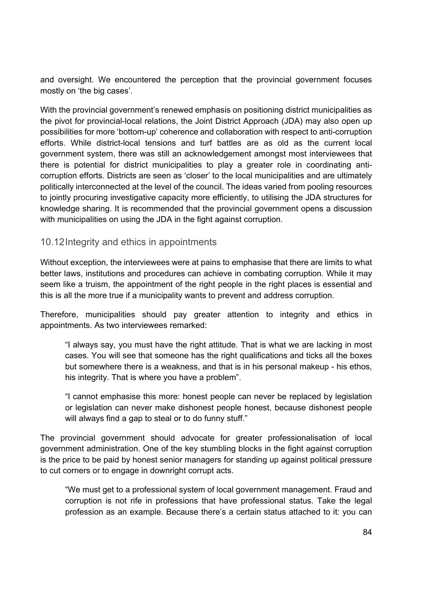and oversight. We encountered the perception that the provincial government focuses mostly on 'the big cases'.

With the provincial government's renewed emphasis on positioning district municipalities as the pivot for provincial-local relations, the Joint District Approach (JDA) may also open up possibilities for more 'bottom-up' coherence and collaboration with respect to anti-corruption efforts. While district-local tensions and turf battles are as old as the current local government system, there was still an acknowledgement amongst most interviewees that there is potential for district municipalities to play a greater role in coordinating anticorruption efforts. Districts are seen as 'closer' to the local municipalities and are ultimately politically interconnected at the level of the council. The ideas varied from pooling resources to jointly procuring investigative capacity more efficiently, to utilising the JDA structures for knowledge sharing. It is recommended that the provincial government opens a discussion with municipalities on using the JDA in the fight against corruption.

#### 10.12 Integrity and ethics in appointments

Without exception, the interviewees were at pains to emphasise that there are limits to what better laws, institutions and procedures can achieve in combating corruption. While it may seem like a truism, the appointment of the right people in the right places is essential and this is all the more true if a municipality wants to prevent and address corruption.

Therefore, municipalities should pay greater attention to integrity and ethics in appointments. As two interviewees remarked:

"I always say, you must have the right attitude. That is what we are lacking in most cases. You will see that someone has the right qualifications and ticks all the boxes but somewhere there is a weakness, and that is in his personal makeup - his ethos, his integrity. That is where you have a problem".

"I cannot emphasise this more: honest people can never be replaced by legislation or legislation can never make dishonest people honest, because dishonest people will always find a gap to steal or to do funny stuff."

The provincial government should advocate for greater professionalisation of local government administration. One of the key stumbling blocks in the fight against corruption is the price to be paid by honest senior managers for standing up against political pressure to cut corners or to engage in downright corrupt acts.

"We must get to a professional system of local government management. Fraud and corruption is not rife in professions that have professional status. Take the legal profession as an example. Because there's a certain status attached to it: you can